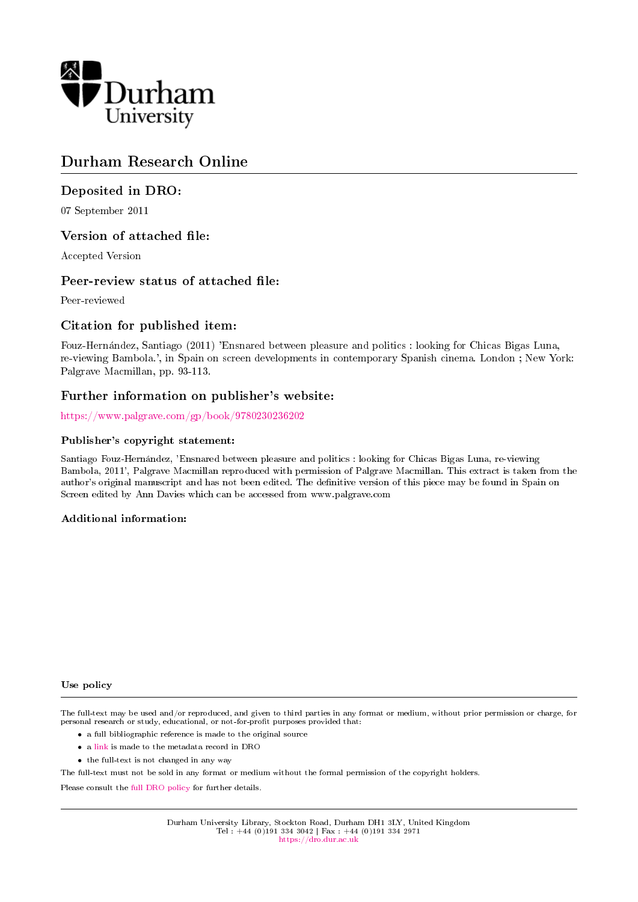

# Durham Research Online

# Deposited in DRO:

07 September 2011

### Version of attached file:

Accepted Version

### Peer-review status of attached file:

Peer-reviewed

### Citation for published item:

Fouz-Hernandez, Santiago (2011) 'Ensnared between pleasure and politics : looking for Chicas Bigas Luna, re-viewing Bambola.', in Spain on screen developments in contemporary Spanish cinema. London ; New York: Palgrave Macmillan, pp. 93-113.

### Further information on publisher's website:

<https://www.palgrave.com/gp/book/9780230236202>

#### Publisher's copyright statement:

Santiago Fouz-Hernandez, 'Ensnared between pleasure and politics : looking for Chicas Bigas Luna, re-viewing Bambola, 2011', Palgrave Macmillan reproduced with permission of Palgrave Macmillan. This extract is taken from the author's original manuscript and has not been edited. The definitive version of this piece may be found in Spain on Screen edited by Ann Davies which can be accessed from www.palgrave.com

#### Additional information:

#### Use policy

The full-text may be used and/or reproduced, and given to third parties in any format or medium, without prior permission or charge, for personal research or study, educational, or not-for-profit purposes provided that:

- a full bibliographic reference is made to the original source
- a [link](http://dro.dur.ac.uk/8685/) is made to the metadata record in DRO
- the full-text is not changed in any way

The full-text must not be sold in any format or medium without the formal permission of the copyright holders.

Please consult the [full DRO policy](https://dro.dur.ac.uk/policies/usepolicy.pdf) for further details.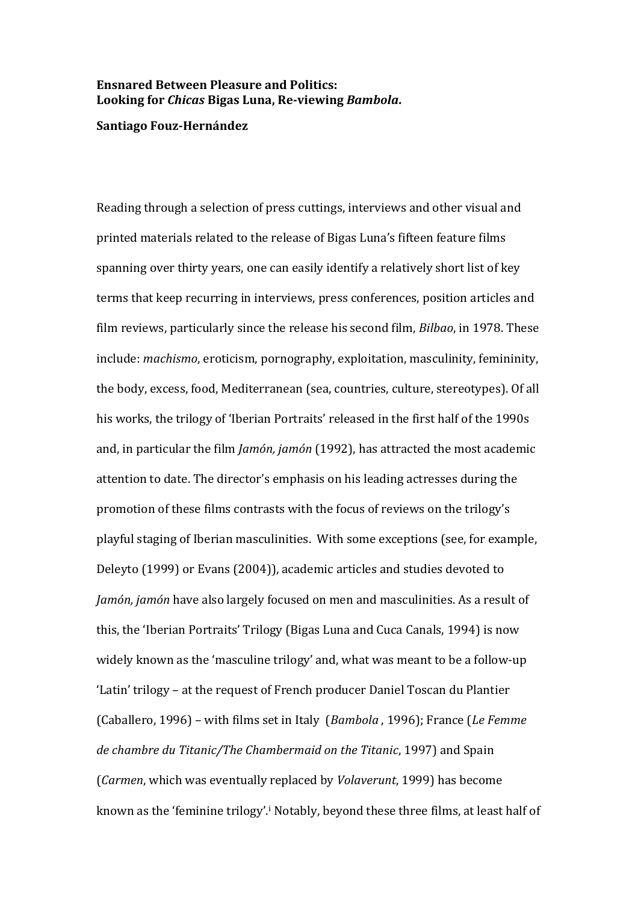## **Ensnared Between Pleasure and Politics: Looking for** *Chicas* **Bigas Luna, Re-viewing** *Bambola***.**

# **Santiago Fouz-Hernández**

Reading through a selection of press cuttings, interviews and other visual and printed materials related to the release of Bigas Luna's fifteen feature films spanning over thirty years, one can easily identify a relatively short list of key terms that keep recurring in interviews, press conferences, position articles and film reviews, particularly since the release his second film, *Bilbao*, in 1978. These include: *machismo*, eroticism, pornography, exploitation, masculinity, femininity, the body, excess, food, Mediterranean (sea, countries, culture, stereotypes). Of all his works, the trilogy of 'Iberian Portraits' released in the first half of the 1990s and, in particular the film *Jamón, jamón* (1992), has attracted the most academic attention to date. The director's emphasis on his leading actresses during the promotion of these films contrasts with the focus of reviews on the trilogy's playful staging of Iberian masculinities. With some exceptions (see, for example, Deleyto (1999) or Evans (2004)), academic articles and studies devoted to *Jamón, jamón* have also largely focused on men and masculinities. As a result of this, the 'Iberian Portraits' Trilogy (Bigas Luna and Cuca Canals, 1994) is now widely known as the 'masculine trilogy' and, what was meant to be a follow-up 'Latin' trilogy – at the request of French producer Daniel Toscan du Plantier (Caballero, 1996) – with films set in Italy (*Bambola* , 1996); France (*Le Femme de chambre du Titanic/The Chambermaid on the Titanic*, 1997) and Spain (*Carmen*, which was eventually replaced by *Volaverunt*, 1999) has become known as the 'feminine trilogy'.<sup>i</sup> Notably, beyond these three films, at least half of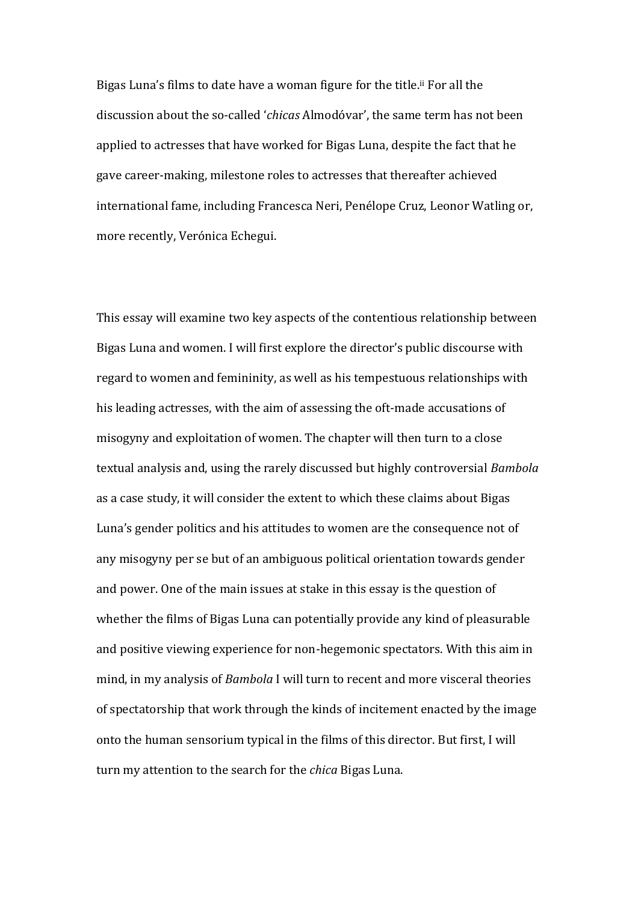Bigas Luna's films to date have a woman figure for the title.<sup>ii</sup> For all the discussion about the so-called '*chicas* Almodóvar', the same term has not been applied to actresses that have worked for Bigas Luna, despite the fact that he gave career-making, milestone roles to actresses that thereafter achieved international fame, including Francesca Neri, Penélope Cruz, Leonor Watling or, more recently, Verónica Echegui.

This essay will examine two key aspects of the contentious relationship between Bigas Luna and women. I will first explore the director's public discourse with regard to women and femininity, as well as his tempestuous relationships with his leading actresses, with the aim of assessing the oft-made accusations of misogyny and exploitation of women. The chapter will then turn to a close textual analysis and, using the rarely discussed but highly controversial *Bambola* as a case study, it will consider the extent to which these claims about Bigas Luna's gender politics and his attitudes to women are the consequence not of any misogyny per se but of an ambiguous political orientation towards gender and power. One of the main issues at stake in this essay is the question of whether the films of Bigas Luna can potentially provide any kind of pleasurable and positive viewing experience for non-hegemonic spectators. With this aim in mind, in my analysis of *Bambola* I will turn to recent and more visceral theories of spectatorship that work through the kinds of incitement enacted by the image onto the human sensorium typical in the films of this director. But first, I will turn my attention to the search for the *chica* Bigas Luna.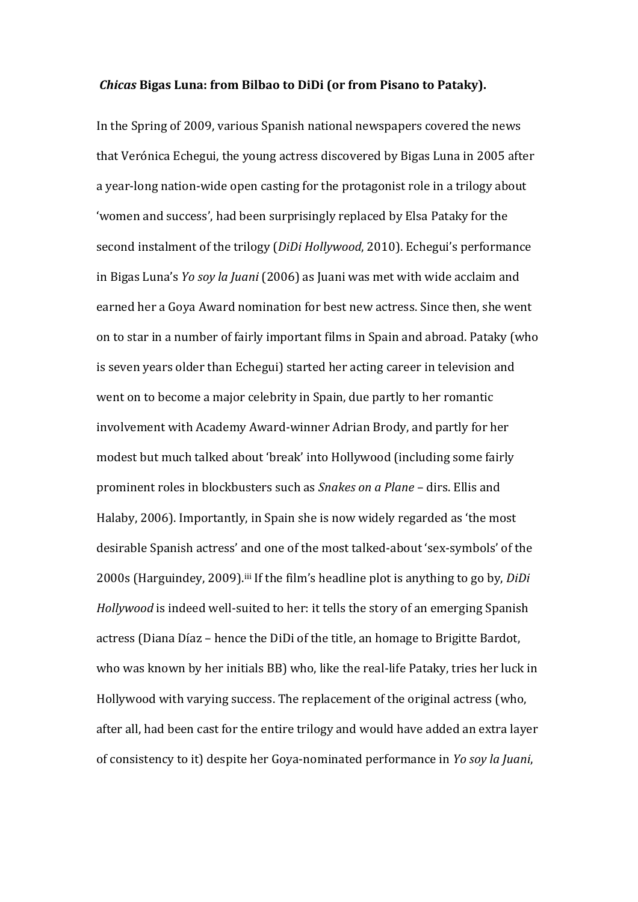#### *Chicas* **Bigas Luna: from Bilbao to DiDi (or from Pisano to Pataky).**

In the Spring of 2009, various Spanish national newspapers covered the news that Verónica Echegui, the young actress discovered by Bigas Luna in 2005 after a year-long nation-wide open casting for the protagonist role in a trilogy about 'women and success', had been surprisingly replaced by Elsa Pataky for the second instalment of the trilogy (*DiDi Hollywood*, 2010). Echegui's performance in Bigas Luna's *Yo soy la Juani* (2006) as Juani was met with wide acclaim and earned her a Goya Award nomination for best new actress. Since then, she went on to star in a number of fairly important films in Spain and abroad. Pataky (who is seven years older than Echegui) started her acting career in television and went on to become a major celebrity in Spain, due partly to her romantic involvement with Academy Award-winner Adrian Brody, and partly for her modest but much talked about 'break' into Hollywood (including some fairly prominent roles in blockbusters such as *Snakes on a Plane* – dirs. Ellis and Halaby, 2006). Importantly, in Spain she is now widely regarded as 'the most desirable Spanish actress' and one of the most talked-about 'sex-symbols' of the 2000s (Harguindey, 2009).iii If the film's headline plot is anything to go by, *DiDi Hollywood* is indeed well-suited to her: it tells the story of an emerging Spanish actress (Diana Díaz – hence the DiDi of the title, an homage to Brigitte Bardot, who was known by her initials BB) who, like the real-life Pataky, tries her luck in Hollywood with varying success. The replacement of the original actress (who, after all, had been cast for the entire trilogy and would have added an extra layer of consistency to it) despite her Goya-nominated performance in *Yo soy la Juani*,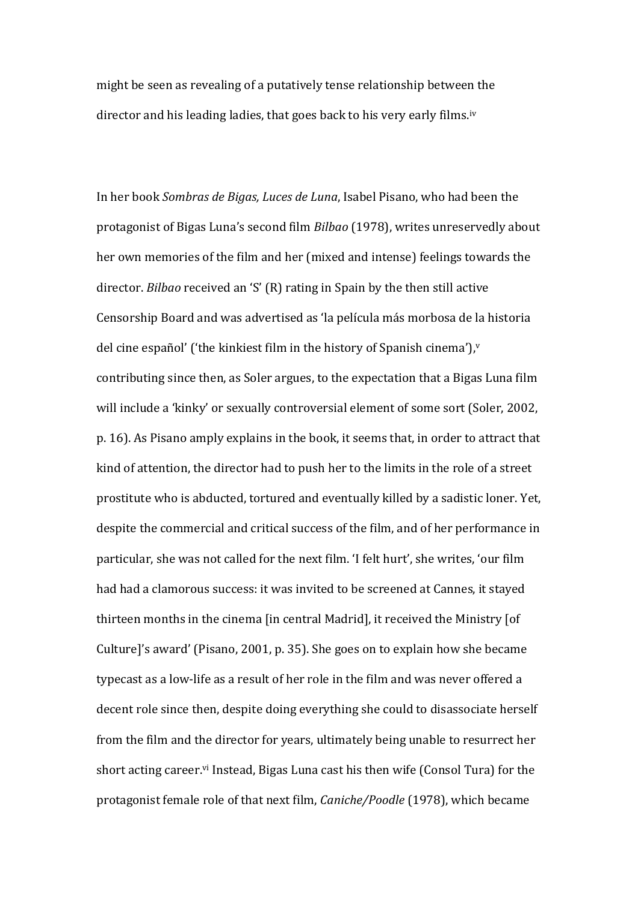might be seen as revealing of a putatively tense relationship between the director and his leading ladies, that goes back to his very early films.iv

In her book *Sombras de Bigas, Luces de Luna*, Isabel Pisano, who had been the protagonist of Bigas Luna's second film *Bilbao* (1978), writes unreservedly about her own memories of the film and her (mixed and intense) feelings towards the director. *Bilbao* received an 'S' (R) rating in Spain by the then still active Censorship Board and was advertised as 'la película más morbosa de la historia del cine español' ('the kinkiest film in the history of Spanish cinema'), $v$ contributing since then, as Soler argues, to the expectation that a Bigas Luna film will include a 'kinky' or sexually controversial element of some sort (Soler, 2002, p. 16). As Pisano amply explains in the book, it seems that, in order to attract that kind of attention, the director had to push her to the limits in the role of a street prostitute who is abducted, tortured and eventually killed by a sadistic loner. Yet, despite the commercial and critical success of the film, and of her performance in particular, she was not called for the next film. 'I felt hurt', she writes, 'our film had had a clamorous success: it was invited to be screened at Cannes, it stayed thirteen months in the cinema [in central Madrid], it received the Ministry [of Culture]'s award' (Pisano, 2001, p. 35). She goes on to explain how she became typecast as a low-life as a result of her role in the film and was never offered a decent role since then, despite doing everything she could to disassociate herself from the film and the director for years, ultimately being unable to resurrect her short acting career.<sup>vi</sup> Instead, Bigas Luna cast his then wife (Consol Tura) for the protagonist female role of that next film, *Caniche/Poodle* (1978), which became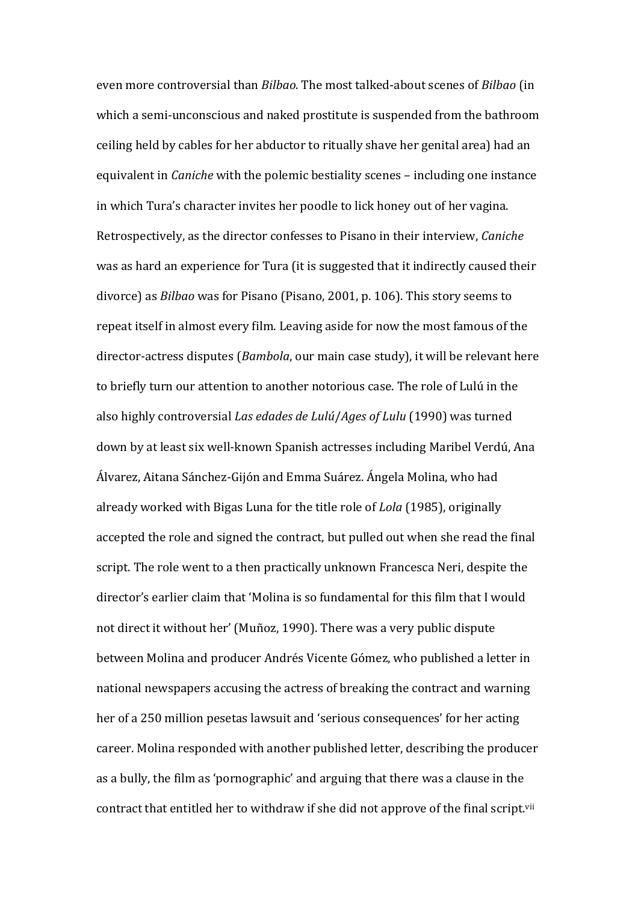even more controversial than *Bilbao*. The most talked-about scenes of *Bilbao* (in which a semi-unconscious and naked prostitute is suspended from the bathroom ceiling held by cables for her abductor to ritually shave her genital area) had an equivalent in *Caniche* with the polemic bestiality scenes – including one instance in which Tura's character invites her poodle to lick honey out of her vagina. Retrospectively, as the director confesses to Pisano in their interview, *Caniche* was as hard an experience for Tura (it is suggested that it indirectly caused their divorce) as *Bilbao* was for Pisano (Pisano, 2001, p. 106). This story seems to repeat itself in almost every film. Leaving aside for now the most famous of the director-actress disputes (*Bambola*, our main case study), it will be relevant here to briefly turn our attention to another notorious case. The role of Lulú in the also highly controversial *Las edades de Lulú*/*Ages of Lulu* (1990) was turned down by at least six well-known Spanish actresses including Maribel Verdú, Ana Álvarez, Aitana Sánchez-Gijón and Emma Suárez. Ángela Molina, who had already worked with Bigas Luna for the title role of *Lola* (1985), originally accepted the role and signed the contract, but pulled out when she read the final script. The role went to a then practically unknown Francesca Neri, despite the director's earlier claim that 'Molina is so fundamental for this film that I would not direct it without her' (Muñoz, 1990). There was a very public dispute between Molina and producer Andrés Vicente Gómez, who published a letter in national newspapers accusing the actress of breaking the contract and warning her of a 250 million pesetas lawsuit and 'serious consequences' for her acting career. Molina responded with another published letter, describing the producer as a bully, the film as 'pornographic' and arguing that there was a clause in the contract that entitled her to withdraw if she did not approve of the final script.<sup>vii</sup>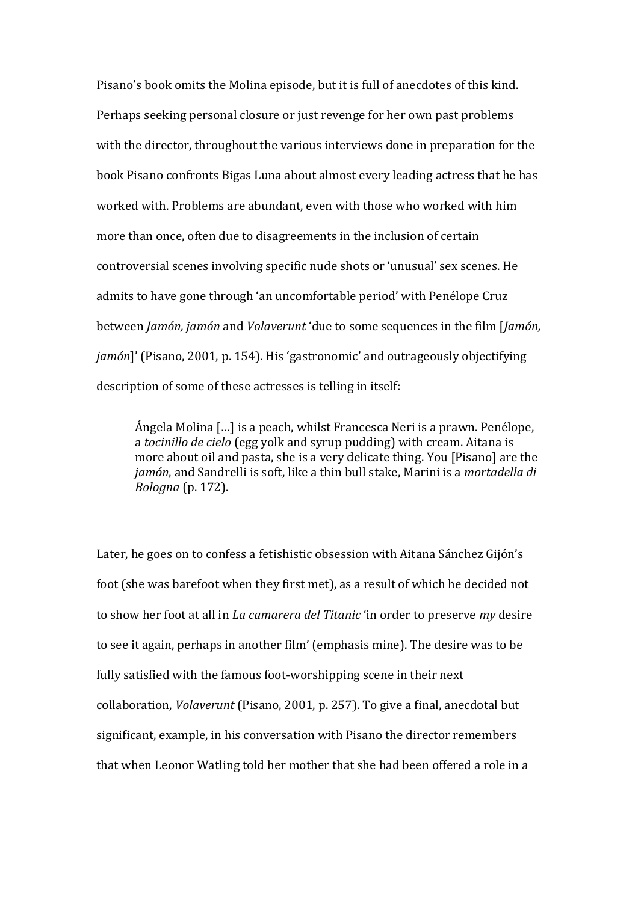Pisano's book omits the Molina episode, but it is full of anecdotes of this kind. Perhaps seeking personal closure or just revenge for her own past problems with the director, throughout the various interviews done in preparation for the book Pisano confronts Bigas Luna about almost every leading actress that he has worked with. Problems are abundant, even with those who worked with him more than once, often due to disagreements in the inclusion of certain controversial scenes involving specific nude shots or 'unusual' sex scenes. He admits to have gone through 'an uncomfortable period' with Penélope Cruz between *Jamón, jamón* and *Volaverunt* 'due to some sequences in the film [*Jamón, jamón*]' (Pisano, 2001, p. 154). His 'gastronomic' and outrageously objectifying description of some of these actresses is telling in itself:

Ángela Molina […] is a peach, whilst Francesca Neri is a prawn. Penélope, a *tocinillo de cielo* (egg yolk and syrup pudding) with cream. Aitana is more about oil and pasta, she is a very delicate thing. You [Pisano] are the *jamón*, and Sandrelli is soft, like a thin bull stake, Marini is a *mortadella di Bologna* (p. 172).

Later, he goes on to confess a fetishistic obsession with Aitana Sánchez Gijón's foot (she was barefoot when they first met), as a result of which he decided not to show her foot at all in *La camarera del Titanic* 'in order to preserve *my* desire to see it again, perhaps in another film' (emphasis mine). The desire was to be fully satisfied with the famous foot-worshipping scene in their next collaboration, *Volaverunt* (Pisano, 2001, p. 257). To give a final, anecdotal but significant, example, in his conversation with Pisano the director remembers that when Leonor Watling told her mother that she had been offered a role in a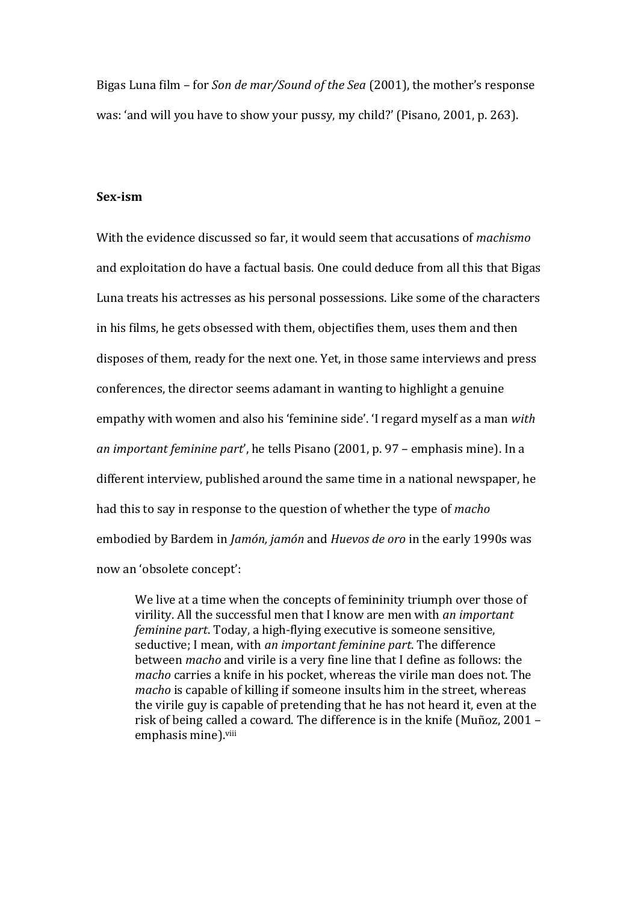Bigas Luna film – for *Son de mar/Sound of the Sea* (2001), the mother's response was: 'and will you have to show your pussy, my child?' (Pisano, 2001, p. 263).

### **Sex-ism**

With the evidence discussed so far, it would seem that accusations of *machismo*  and exploitation do have a factual basis. One could deduce from all this that Bigas Luna treats his actresses as his personal possessions. Like some of the characters in his films, he gets obsessed with them, objectifies them, uses them and then disposes of them, ready for the next one. Yet, in those same interviews and press conferences, the director seems adamant in wanting to highlight a genuine empathy with women and also his 'feminine side'. 'I regard myself as a man *with an important feminine part*', he tells Pisano (2001, p. 97 – emphasis mine). In a different interview, published around the same time in a national newspaper, he had this to say in response to the question of whether the type of *macho*  embodied by Bardem in *Jamón, jamón* and *Huevos de oro* in the early 1990s was now an 'obsolete concept':

We live at a time when the concepts of femininity triumph over those of virility. All the successful men that I know are men with *an important feminine part*. Today, a high-flying executive is someone sensitive, seductive; I mean, with *an important feminine part*. The difference between *macho* and virile is a very fine line that I define as follows: the *macho* carries a knife in his pocket, whereas the virile man does not. The *macho* is capable of killing if someone insults him in the street, whereas the virile guy is capable of pretending that he has not heard it, even at the risk of being called a coward. The difference is in the knife (Muñoz, 2001 – emphasis mine).<sup>viii</sup>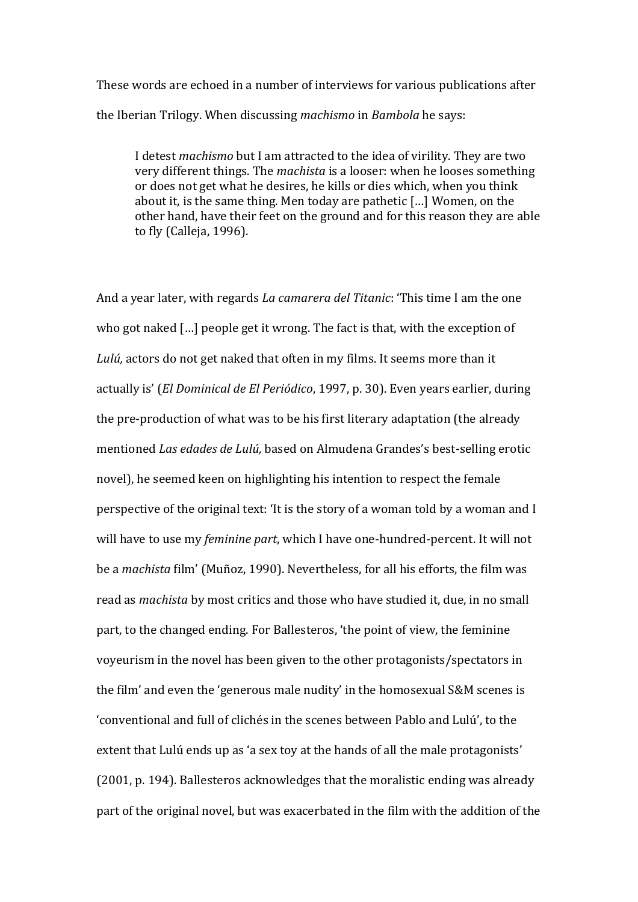These words are echoed in a number of interviews for various publications after the Iberian Trilogy. When discussing *machismo* in *Bambola* he says:

I detest *machismo* but I am attracted to the idea of virility. They are two very different things. The *machista* is a looser: when he looses something or does not get what he desires, he kills or dies which, when you think about it, is the same thing. Men today are pathetic […] Women, on the other hand, have their feet on the ground and for this reason they are able to fly (Calleja, 1996).

And a year later, with regards *La camarera del Titanic*: 'This time I am the one who got naked […] people get it wrong. The fact is that, with the exception of *Lulú,* actors do not get naked that often in my films. It seems more than it actually is' (*El Dominical de El Periódico*, 1997, p. 30). Even years earlier, during the pre-production of what was to be his first literary adaptation (the already mentioned *Las edades de Lulú,* based on Almudena Grandes's best-selling erotic novel), he seemed keen on highlighting his intention to respect the female perspective of the original text: 'It is the story of a woman told by a woman and I will have to use my *feminine part*, which I have one-hundred-percent. It will not be a *machista* film' (Muñoz, 1990). Nevertheless, for all his efforts, the film was read as *machista* by most critics and those who have studied it, due, in no small part, to the changed ending. For Ballesteros, 'the point of view, the feminine voyeurism in the novel has been given to the other protagonists/spectators in the film' and even the 'generous male nudity' in the homosexual S&M scenes is 'conventional and full of clichés in the scenes between Pablo and Lulú', to the extent that Lulú ends up as 'a sex toy at the hands of all the male protagonists' (2001, p. 194). Ballesteros acknowledges that the moralistic ending was already part of the original novel, but was exacerbated in the film with the addition of the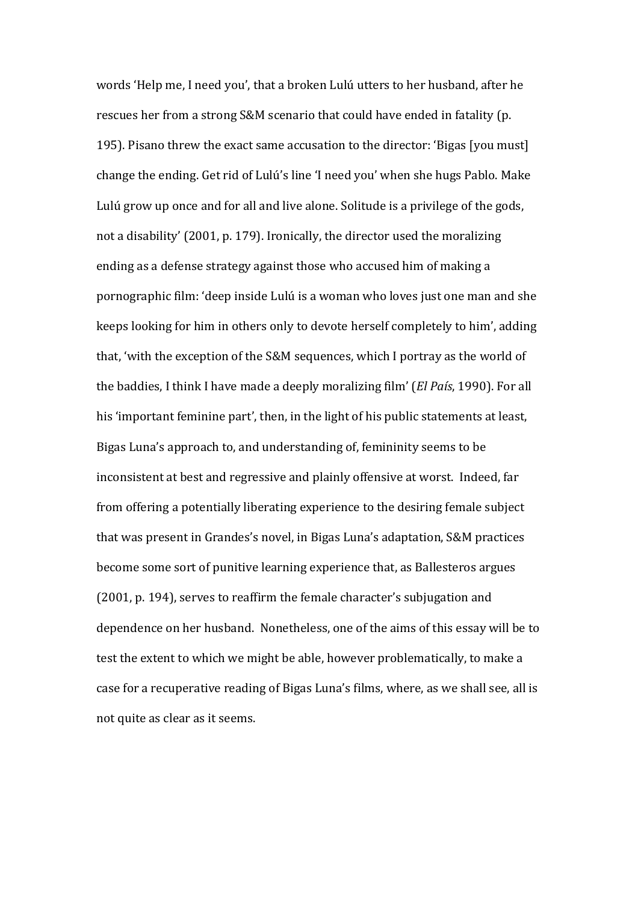words 'Help me, I need you', that a broken Lulú utters to her husband, after he rescues her from a strong S&M scenario that could have ended in fatality (p. 195). Pisano threw the exact same accusation to the director: 'Bigas [you must] change the ending. Get rid of Lulú's line 'I need you' when she hugs Pablo. Make Lulú grow up once and for all and live alone. Solitude is a privilege of the gods, not a disability' (2001, p. 179). Ironically, the director used the moralizing ending as a defense strategy against those who accused him of making a pornographic film: 'deep inside Lulú is a woman who loves just one man and she keeps looking for him in others only to devote herself completely to him', adding that, 'with the exception of the S&M sequences, which I portray as the world of the baddies, I think I have made a deeply moralizing film' (*El País*, 1990). For all his 'important feminine part', then, in the light of his public statements at least, Bigas Luna's approach to, and understanding of, femininity seems to be inconsistent at best and regressive and plainly offensive at worst. Indeed, far from offering a potentially liberating experience to the desiring female subject that was present in Grandes's novel, in Bigas Luna's adaptation, S&M practices become some sort of punitive learning experience that, as Ballesteros argues (2001, p. 194), serves to reaffirm the female character's subjugation and dependence on her husband. Nonetheless, one of the aims of this essay will be to test the extent to which we might be able, however problematically, to make a case for a recuperative reading of Bigas Luna's films, where, as we shall see, all is not quite as clear as it seems.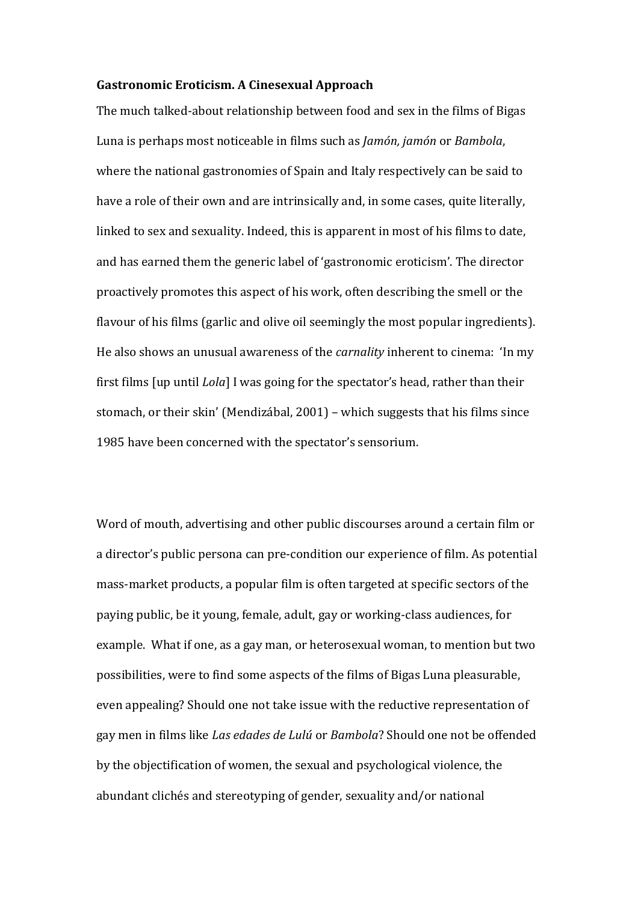#### **Gastronomic Eroticism. A Cinesexual Approach**

The much talked-about relationship between food and sex in the films of Bigas Luna is perhaps most noticeable in films such as *Jamón, jamón* or *Bambola*, where the national gastronomies of Spain and Italy respectively can be said to have a role of their own and are intrinsically and, in some cases, quite literally, linked to sex and sexuality. Indeed, this is apparent in most of his films to date, and has earned them the generic label of 'gastronomic eroticism'. The director proactively promotes this aspect of his work, often describing the smell or the flavour of his films (garlic and olive oil seemingly the most popular ingredients). He also shows an unusual awareness of the *carnality* inherent to cinema: 'In my first films [up until *Lola*] I was going for the spectator's head, rather than their stomach, or their skin' (Mendizábal, 2001) – which suggests that his films since 1985 have been concerned with the spectator's sensorium.

Word of mouth, advertising and other public discourses around a certain film or a director's public persona can pre-condition our experience of film. As potential mass-market products, a popular film is often targeted at specific sectors of the paying public, be it young, female, adult, gay or working-class audiences, for example. What if one, as a gay man, or heterosexual woman, to mention but two possibilities, were to find some aspects of the films of Bigas Luna pleasurable, even appealing? Should one not take issue with the reductive representation of gay men in films like *Las edades de Lulú* or *Bambola*? Should one not be offended by the objectification of women, the sexual and psychological violence, the abundant clichés and stereotyping of gender, sexuality and/or national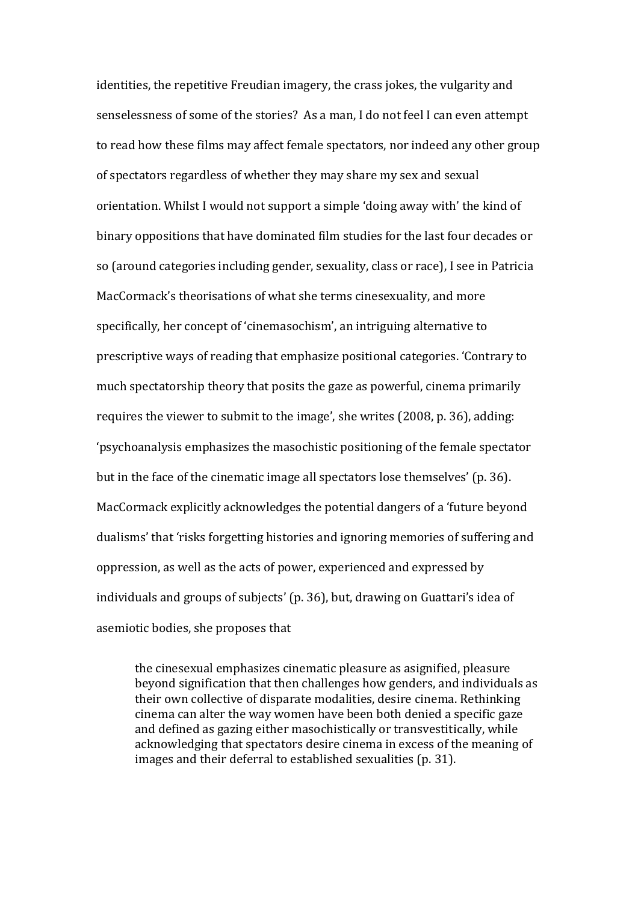identities, the repetitive Freudian imagery, the crass jokes, the vulgarity and senselessness of some of the stories? As a man, I do not feel I can even attempt to read how these films may affect female spectators, nor indeed any other group of spectators regardless of whether they may share my sex and sexual orientation. Whilst I would not support a simple 'doing away with' the kind of binary oppositions that have dominated film studies for the last four decades or so (around categories including gender, sexuality, class or race), I see in Patricia MacCormack's theorisations of what she terms cinesexuality, and more specifically, her concept of 'cinemasochism', an intriguing alternative to prescriptive ways of reading that emphasize positional categories. 'Contrary to much spectatorship theory that posits the gaze as powerful, cinema primarily requires the viewer to submit to the image', she writes (2008, p. 36), adding: 'psychoanalysis emphasizes the masochistic positioning of the female spectator but in the face of the cinematic image all spectators lose themselves' (p. 36). MacCormack explicitly acknowledges the potential dangers of a 'future beyond dualisms' that 'risks forgetting histories and ignoring memories of suffering and oppression, as well as the acts of power, experienced and expressed by individuals and groups of subjects' (p. 36), but, drawing on Guattari's idea of asemiotic bodies, she proposes that

the cinesexual emphasizes cinematic pleasure as asignified, pleasure beyond signification that then challenges how genders, and individuals as their own collective of disparate modalities, desire cinema. Rethinking cinema can alter the way women have been both denied a specific gaze and defined as gazing either masochistically or transvestitically, while acknowledging that spectators desire cinema in excess of the meaning of images and their deferral to established sexualities (p. 31).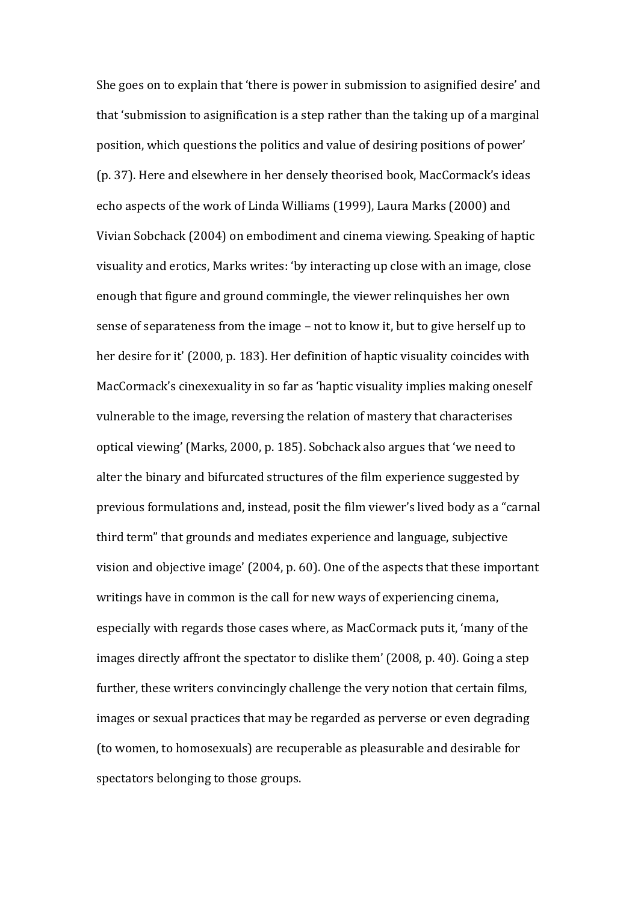She goes on to explain that 'there is power in submission to asignified desire' and that 'submission to asignification is a step rather than the taking up of a marginal position, which questions the politics and value of desiring positions of power' (p. 37). Here and elsewhere in her densely theorised book, MacCormack's ideas echo aspects of the work of Linda Williams (1999), Laura Marks (2000) and Vivian Sobchack (2004) on embodiment and cinema viewing. Speaking of haptic visuality and erotics, Marks writes: 'by interacting up close with an image, close enough that figure and ground commingle, the viewer relinquishes her own sense of separateness from the image – not to know it, but to give herself up to her desire for it' (2000, p. 183). Her definition of haptic visuality coincides with MacCormack's cinexexuality in so far as 'haptic visuality implies making oneself vulnerable to the image, reversing the relation of mastery that characterises optical viewing' (Marks, 2000, p. 185). Sobchack also argues that 'we need to alter the binary and bifurcated structures of the film experience suggested by previous formulations and, instead, posit the film viewer's lived body as a "carnal third term" that grounds and mediates experience and language, subjective vision and objective image' (2004, p. 60). One of the aspects that these important writings have in common is the call for new ways of experiencing cinema, especially with regards those cases where, as MacCormack puts it, 'many of the images directly affront the spectator to dislike them' (2008, p. 40). Going a step further, these writers convincingly challenge the very notion that certain films, images or sexual practices that may be regarded as perverse or even degrading (to women, to homosexuals) are recuperable as pleasurable and desirable for spectators belonging to those groups.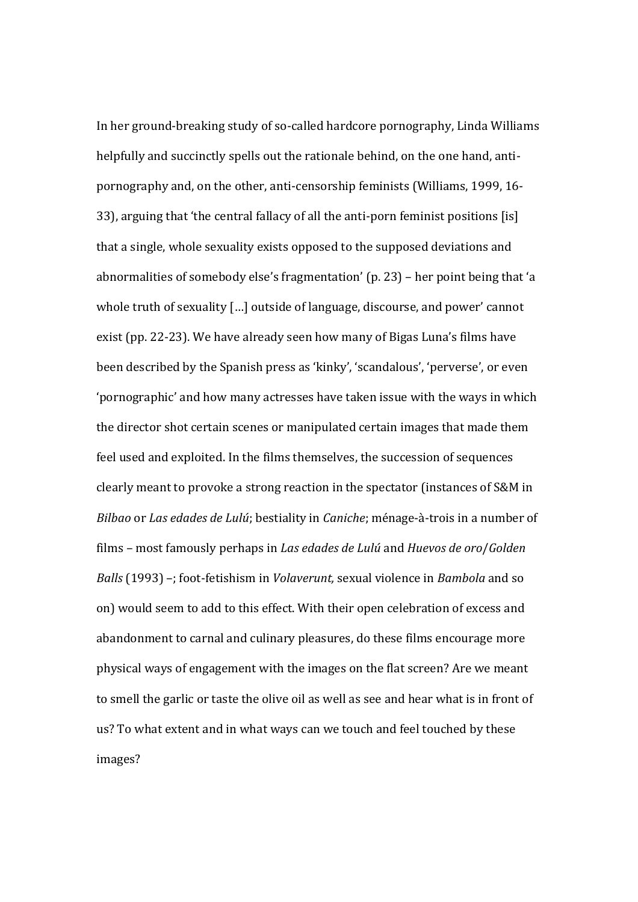In her ground-breaking study of so-called hardcore pornography, Linda Williams helpfully and succinctly spells out the rationale behind, on the one hand, antipornography and, on the other, anti-censorship feminists (Williams, 1999, 16- 33), arguing that 'the central fallacy of all the anti-porn feminist positions [is] that a single, whole sexuality exists opposed to the supposed deviations and abnormalities of somebody else's fragmentation' (p. 23) – her point being that 'a whole truth of sexuality […] outside of language, discourse, and power' cannot exist (pp. 22-23). We have already seen how many of Bigas Luna's films have been described by the Spanish press as 'kinky', 'scandalous', 'perverse', or even 'pornographic' and how many actresses have taken issue with the ways in which the director shot certain scenes or manipulated certain images that made them feel used and exploited. In the films themselves, the succession of sequences clearly meant to provoke a strong reaction in the spectator (instances of S&M in *Bilbao* or *Las edades de Lulú*; bestiality in *Caniche*; ménage-à-trois in a number of films – most famously perhaps in *Las edades de Lulú* and *Huevos de oro*/*Golden Balls* (1993) –; foot-fetishism in *Volaverunt,* sexual violence in *Bambola* and so on) would seem to add to this effect. With their open celebration of excess and abandonment to carnal and culinary pleasures, do these films encourage more physical ways of engagement with the images on the flat screen? Are we meant to smell the garlic or taste the olive oil as well as see and hear what is in front of us? To what extent and in what ways can we touch and feel touched by these images?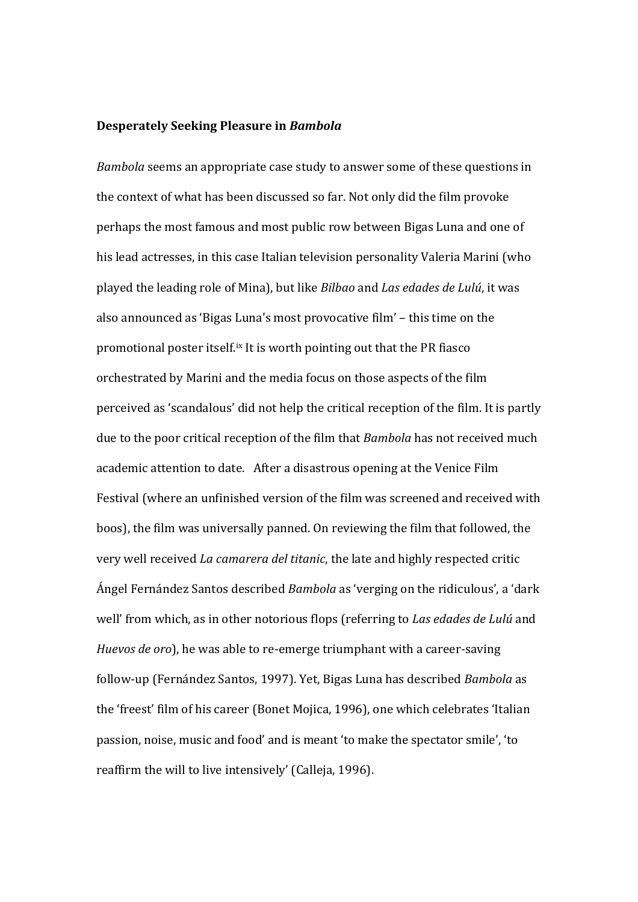#### **Desperately Seeking Pleasure in** *Bambola*

*Bambola* seems an appropriate case study to answer some of these questions in the context of what has been discussed so far. Not only did the film provoke perhaps the most famous and most public row between Bigas Luna and one of his lead actresses, in this case Italian television personality Valeria Marini (who played the leading role of Mina), but like *Bilbao* and *Las edades de Lulú*, it was also announced as 'Bigas Luna's most provocative film' – this time on the promotional poster itself.ix It is worth pointing out that the PR fiasco orchestrated by Marini and the media focus on those aspects of the film perceived as 'scandalous' did not help the critical reception of the film. It is partly due to the poor critical reception of the film that *Bambola* has not received much academic attention to date. After a disastrous opening at the Venice Film Festival (where an unfinished version of the film was screened and received with boos), the film was universally panned. On reviewing the film that followed, the very well received *La camarera del titanic*, the late and highly respected critic Ángel Fernández Santos described *Bambola* as 'verging on the ridiculous', a 'dark well' from which, as in other notorious flops (referring to *Las edades de Lulú* and *Huevos de oro*), he was able to re-emerge triumphant with a career-saving follow-up (Fernández Santos, 1997). Yet, Bigas Luna has described *Bambola* as the 'freest' film of his career (Bonet Mojica, 1996), one which celebrates 'Italian passion, noise, music and food' and is meant 'to make the spectator smile', 'to reaffirm the will to live intensively' (Calleja, 1996).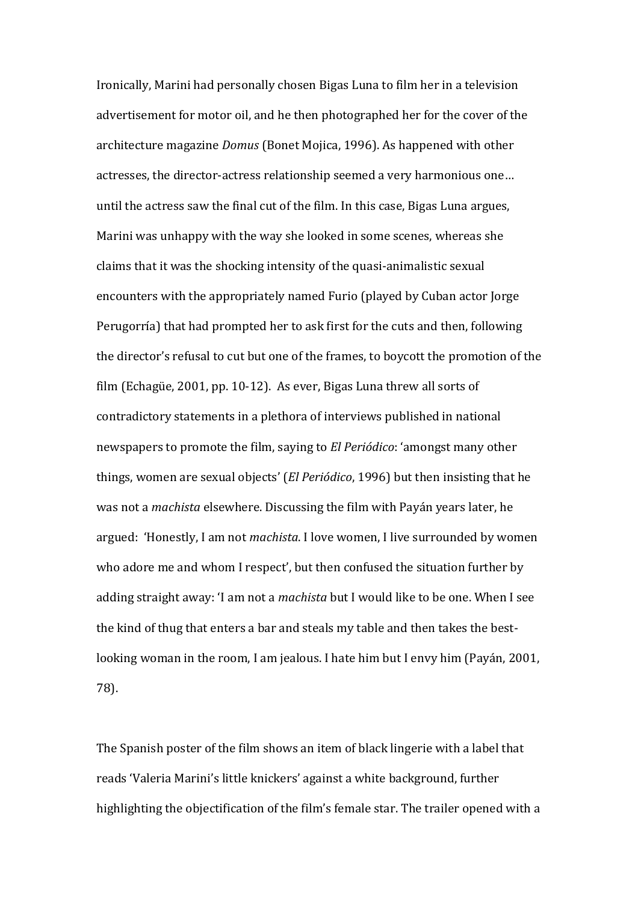Ironically, Marini had personally chosen Bigas Luna to film her in a television advertisement for motor oil, and he then photographed her for the cover of the architecture magazine *Domus* (Bonet Mojica, 1996). As happened with other actresses, the director-actress relationship seemed a very harmonious one… until the actress saw the final cut of the film. In this case, Bigas Luna argues, Marini was unhappy with the way she looked in some scenes, whereas she claims that it was the shocking intensity of the quasi-animalistic sexual encounters with the appropriately named Furio (played by Cuban actor Jorge Perugorría) that had prompted her to ask first for the cuts and then, following the director's refusal to cut but one of the frames, to boycott the promotion of the film (Echagüe, 2001, pp. 10-12). As ever, Bigas Luna threw all sorts of contradictory statements in a plethora of interviews published in national newspapers to promote the film, saying to *El Periódico*: 'amongst many other things, women are sexual objects' (*El Periódico*, 1996) but then insisting that he was not a *machista* elsewhere. Discussing the film with Payán years later, he argued: 'Honestly, I am not *machista*. I love women, I live surrounded by women who adore me and whom I respect', but then confused the situation further by adding straight away: 'I am not a *machista* but I would like to be one. When I see the kind of thug that enters a bar and steals my table and then takes the bestlooking woman in the room, I am jealous. I hate him but I envy him (Payán, 2001, 78).

The Spanish poster of the film shows an item of black lingerie with a label that reads 'Valeria Marini's little knickers' against a white background, further highlighting the objectification of the film's female star. The trailer opened with a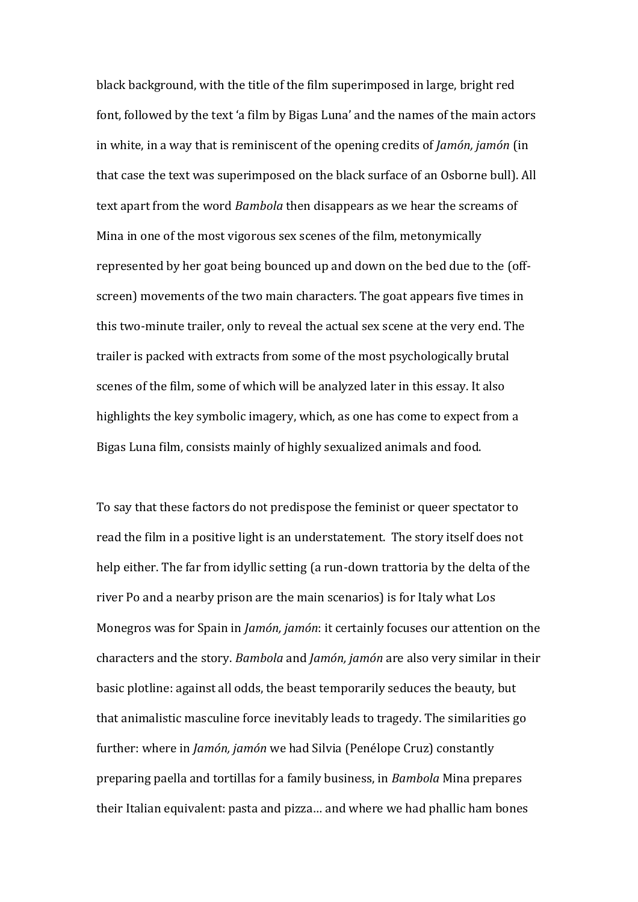black background, with the title of the film superimposed in large, bright red font, followed by the text 'a film by Bigas Luna' and the names of the main actors in white, in a way that is reminiscent of the opening credits of *Jamón, jamón* (in that case the text was superimposed on the black surface of an Osborne bull). All text apart from the word *Bambola* then disappears as we hear the screams of Mina in one of the most vigorous sex scenes of the film, metonymically represented by her goat being bounced up and down on the bed due to the (offscreen) movements of the two main characters. The goat appears five times in this two-minute trailer, only to reveal the actual sex scene at the very end. The trailer is packed with extracts from some of the most psychologically brutal scenes of the film, some of which will be analyzed later in this essay. It also highlights the key symbolic imagery, which, as one has come to expect from a Bigas Luna film, consists mainly of highly sexualized animals and food.

To say that these factors do not predispose the feminist or queer spectator to read the film in a positive light is an understatement. The story itself does not help either. The far from idyllic setting (a run-down trattoria by the delta of the river Po and a nearby prison are the main scenarios) is for Italy what Los Monegros was for Spain in *Jamón, jamón*: it certainly focuses our attention on the characters and the story. *Bambola* and *Jamón, jamón* are also very similar in their basic plotline: against all odds, the beast temporarily seduces the beauty, but that animalistic masculine force inevitably leads to tragedy. The similarities go further: where in *Jamón, jamón* we had Silvia (Penélope Cruz) constantly preparing paella and tortillas for a family business, in *Bambola* Mina prepares their Italian equivalent: pasta and pizza… and where we had phallic ham bones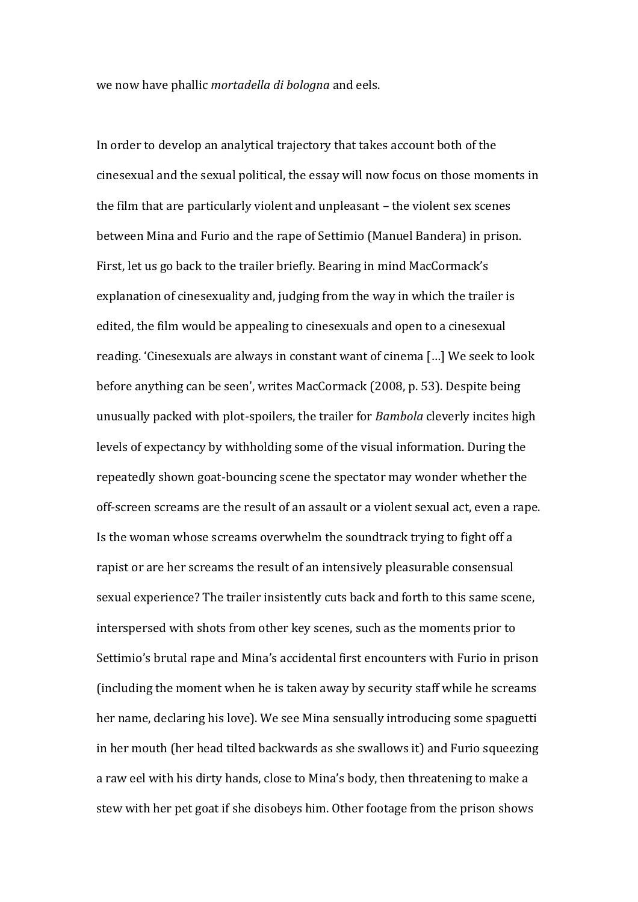we now have phallic *mortadella di bologna* and eels.

In order to develop an analytical trajectory that takes account both of the cinesexual and the sexual political, the essay will now focus on those moments in the film that are particularly violent and unpleasant – the violent sex scenes between Mina and Furio and the rape of Settimio (Manuel Bandera) in prison. First, let us go back to the trailer briefly. Bearing in mind MacCormack's explanation of cinesexuality and, judging from the way in which the trailer is edited, the film would be appealing to cinesexuals and open to a cinesexual reading. 'Cinesexuals are always in constant want of cinema […] We seek to look before anything can be seen', writes MacCormack (2008, p. 53). Despite being unusually packed with plot-spoilers, the trailer for *Bambola* cleverly incites high levels of expectancy by withholding some of the visual information. During the repeatedly shown goat-bouncing scene the spectator may wonder whether the off-screen screams are the result of an assault or a violent sexual act, even a rape. Is the woman whose screams overwhelm the soundtrack trying to fight off a rapist or are her screams the result of an intensively pleasurable consensual sexual experience? The trailer insistently cuts back and forth to this same scene, interspersed with shots from other key scenes, such as the moments prior to Settimio's brutal rape and Mina's accidental first encounters with Furio in prison (including the moment when he is taken away by security staff while he screams her name, declaring his love). We see Mina sensually introducing some spaguetti in her mouth (her head tilted backwards as she swallows it) and Furio squeezing a raw eel with his dirty hands, close to Mina's body, then threatening to make a stew with her pet goat if she disobeys him. Other footage from the prison shows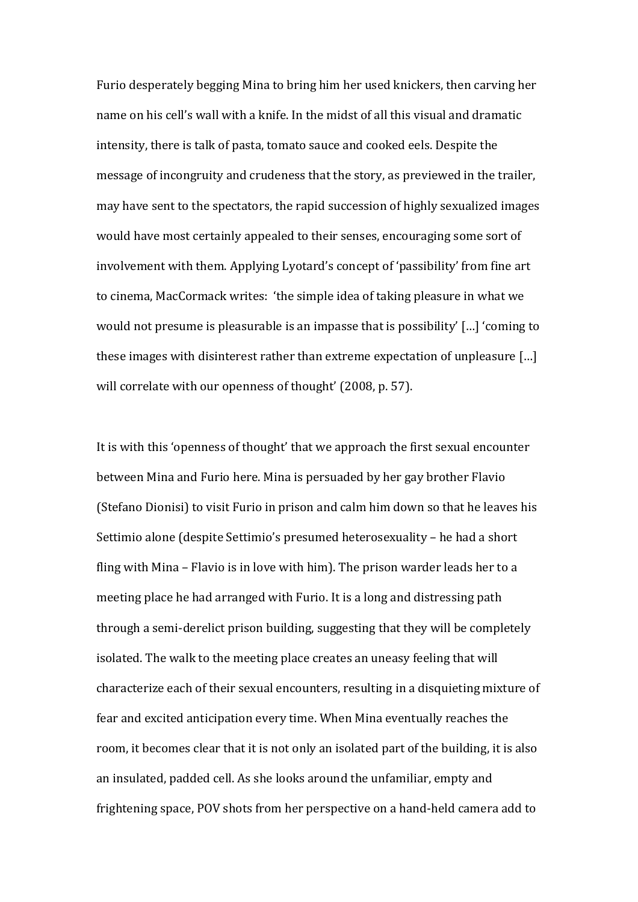Furio desperately begging Mina to bring him her used knickers, then carving her name on his cell's wall with a knife. In the midst of all this visual and dramatic intensity, there is talk of pasta, tomato sauce and cooked eels. Despite the message of incongruity and crudeness that the story, as previewed in the trailer, may have sent to the spectators, the rapid succession of highly sexualized images would have most certainly appealed to their senses, encouraging some sort of involvement with them. Applying Lyotard's concept of 'passibility' from fine art to cinema, MacCormack writes: 'the simple idea of taking pleasure in what we would not presume is pleasurable is an impasse that is possibility' […] 'coming to these images with disinterest rather than extreme expectation of unpleasure […] will correlate with our openness of thought' (2008, p. 57).

It is with this 'openness of thought' that we approach the first sexual encounter between Mina and Furio here. Mina is persuaded by her gay brother Flavio (Stefano Dionisi) to visit Furio in prison and calm him down so that he leaves his Settimio alone (despite Settimio's presumed heterosexuality – he had a short fling with Mina – Flavio is in love with him). The prison warder leads her to a meeting place he had arranged with Furio. It is a long and distressing path through a semi-derelict prison building, suggesting that they will be completely isolated. The walk to the meeting place creates an uneasy feeling that will characterize each of their sexual encounters, resulting in a disquieting mixture of fear and excited anticipation every time. When Mina eventually reaches the room, it becomes clear that it is not only an isolated part of the building, it is also an insulated, padded cell. As she looks around the unfamiliar, empty and frightening space, POV shots from her perspective on a hand-held camera add to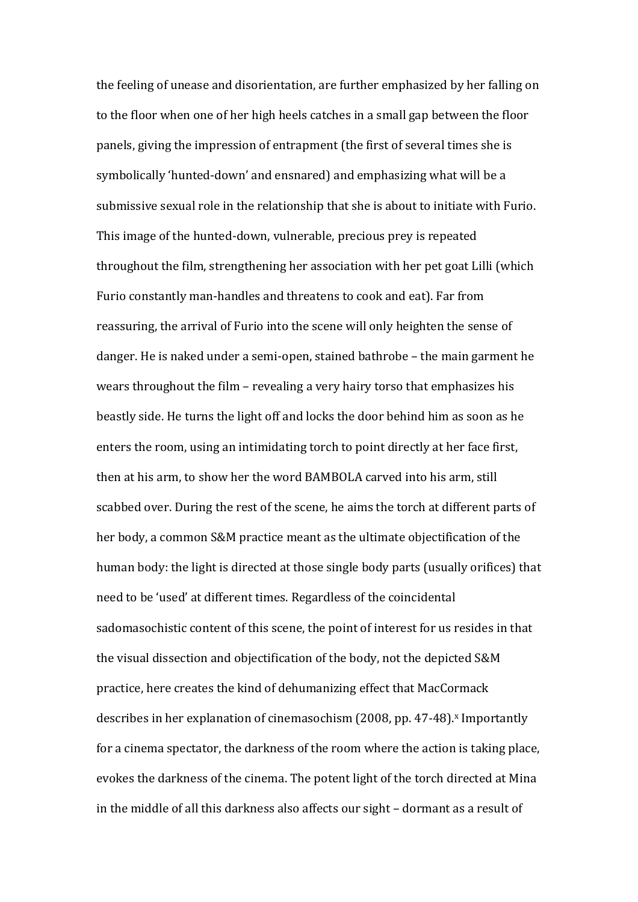the feeling of unease and disorientation, are further emphasized by her falling on to the floor when one of her high heels catches in a small gap between the floor panels, giving the impression of entrapment (the first of several times she is symbolically 'hunted-down' and ensnared) and emphasizing what will be a submissive sexual role in the relationship that she is about to initiate with Furio. This image of the hunted-down, vulnerable, precious prey is repeated throughout the film, strengthening her association with her pet goat Lilli (which Furio constantly man-handles and threatens to cook and eat). Far from reassuring, the arrival of Furio into the scene will only heighten the sense of danger. He is naked under a semi-open, stained bathrobe – the main garment he wears throughout the film – revealing a very hairy torso that emphasizes his beastly side. He turns the light off and locks the door behind him as soon as he enters the room, using an intimidating torch to point directly at her face first, then at his arm, to show her the word BAMBOLA carved into his arm, still scabbed over. During the rest of the scene, he aims the torch at different parts of her body, a common S&M practice meant as the ultimate objectification of the human body: the light is directed at those single body parts (usually orifices) that need to be 'used' at different times. Regardless of the coincidental sadomasochistic content of this scene, the point of interest for us resides in that the visual dissection and objectification of the body, not the depicted S&M practice, here creates the kind of dehumanizing effect that MacCormack describes in her explanation of cinemasochism (2008, pp. 47-48).<sup>x</sup> Importantly for a cinema spectator, the darkness of the room where the action is taking place, evokes the darkness of the cinema. The potent light of the torch directed at Mina in the middle of all this darkness also affects our sight – dormant as a result of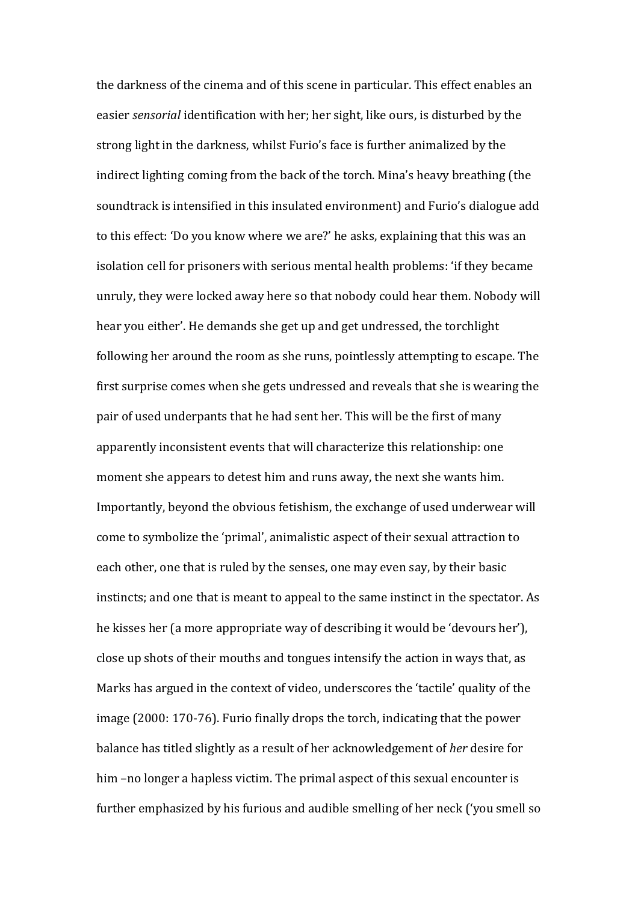the darkness of the cinema and of this scene in particular. This effect enables an easier *sensorial* identification with her; her sight, like ours, is disturbed by the strong light in the darkness, whilst Furio's face is further animalized by the indirect lighting coming from the back of the torch. Mina's heavy breathing (the soundtrack is intensified in this insulated environment) and Furio's dialogue add to this effect: 'Do you know where we are?' he asks, explaining that this was an isolation cell for prisoners with serious mental health problems: 'if they became unruly, they were locked away here so that nobody could hear them. Nobody will hear you either'. He demands she get up and get undressed, the torchlight following her around the room as she runs, pointlessly attempting to escape. The first surprise comes when she gets undressed and reveals that she is wearing the pair of used underpants that he had sent her. This will be the first of many apparently inconsistent events that will characterize this relationship: one moment she appears to detest him and runs away, the next she wants him. Importantly, beyond the obvious fetishism, the exchange of used underwear will come to symbolize the 'primal', animalistic aspect of their sexual attraction to each other, one that is ruled by the senses, one may even say, by their basic instincts; and one that is meant to appeal to the same instinct in the spectator. As he kisses her (a more appropriate way of describing it would be 'devours her'), close up shots of their mouths and tongues intensify the action in ways that, as Marks has argued in the context of video, underscores the 'tactile' quality of the image (2000: 170-76). Furio finally drops the torch, indicating that the power balance has titled slightly as a result of her acknowledgement of *her* desire for him –no longer a hapless victim. The primal aspect of this sexual encounter is further emphasized by his furious and audible smelling of her neck ('you smell so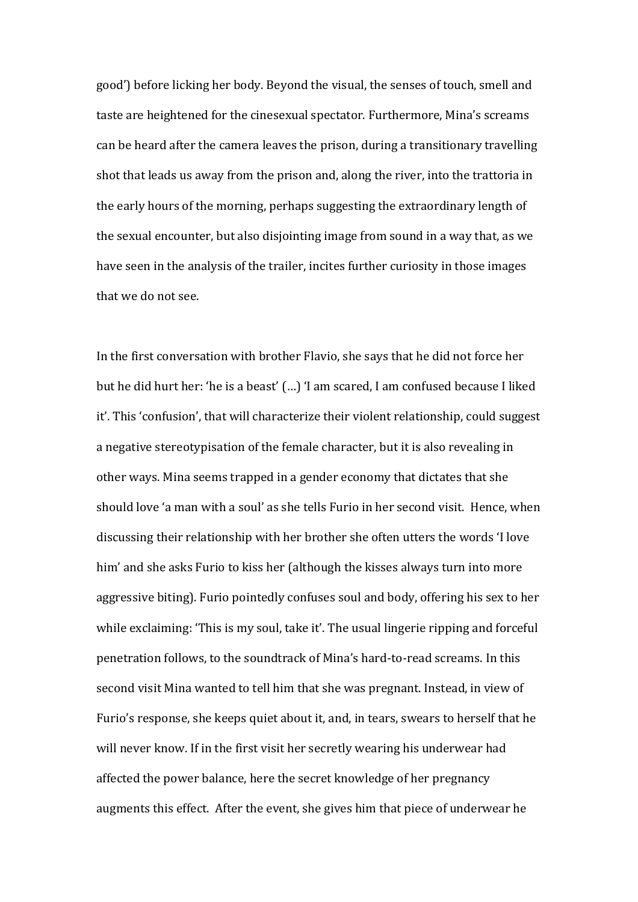good') before licking her body. Beyond the visual, the senses of touch, smell and taste are heightened for the cinesexual spectator. Furthermore, Mina's screams can be heard after the camera leaves the prison, during a transitionary travelling shot that leads us away from the prison and, along the river, into the trattoria in the early hours of the morning, perhaps suggesting the extraordinary length of the sexual encounter, but also disjointing image from sound in a way that, as we have seen in the analysis of the trailer, incites further curiosity in those images that we do not see.

In the first conversation with brother Flavio, she says that he did not force her but he did hurt her: 'he is a beast' (…) 'I am scared, I am confused because I liked it'. This 'confusion', that will characterize their violent relationship, could suggest a negative stereotypisation of the female character, but it is also revealing in other ways. Mina seems trapped in a gender economy that dictates that she should love 'a man with a soul' as she tells Furio in her second visit. Hence, when discussing their relationship with her brother she often utters the words 'I love him' and she asks Furio to kiss her (although the kisses always turn into more aggressive biting). Furio pointedly confuses soul and body, offering his sex to her while exclaiming: 'This is my soul, take it'. The usual lingerie ripping and forceful penetration follows, to the soundtrack of Mina's hard-to-read screams. In this second visit Mina wanted to tell him that she was pregnant. Instead, in view of Furio's response, she keeps quiet about it, and, in tears, swears to herself that he will never know. If in the first visit her secretly wearing his underwear had affected the power balance, here the secret knowledge of her pregnancy augments this effect. After the event, she gives him that piece of underwear he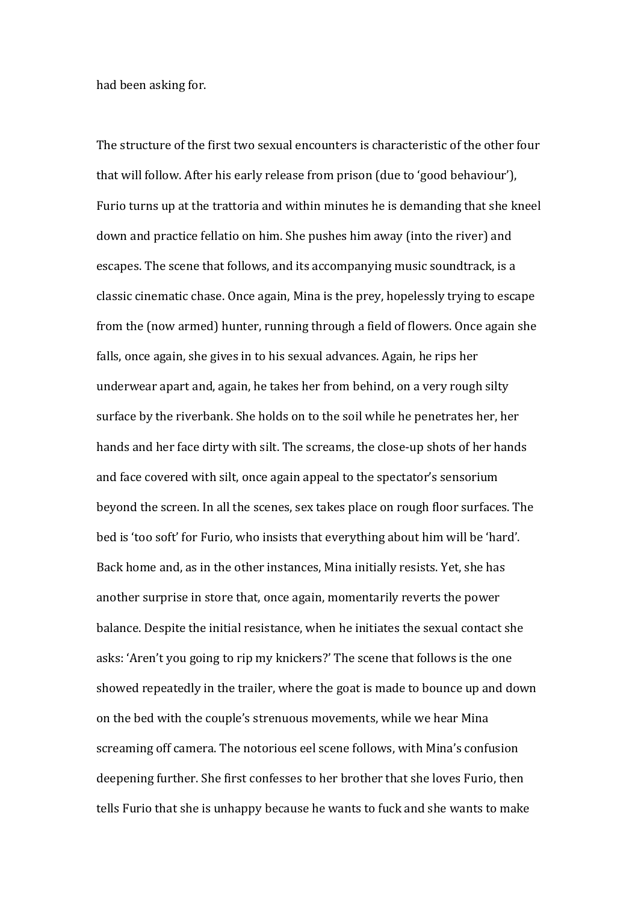had been asking for.

The structure of the first two sexual encounters is characteristic of the other four that will follow. After his early release from prison (due to 'good behaviour'), Furio turns up at the trattoria and within minutes he is demanding that she kneel down and practice fellatio on him. She pushes him away (into the river) and escapes. The scene that follows, and its accompanying music soundtrack, is a classic cinematic chase. Once again, Mina is the prey, hopelessly trying to escape from the (now armed) hunter, running through a field of flowers. Once again she falls, once again, she gives in to his sexual advances. Again, he rips her underwear apart and, again, he takes her from behind, on a very rough silty surface by the riverbank. She holds on to the soil while he penetrates her, her hands and her face dirty with silt. The screams, the close-up shots of her hands and face covered with silt, once again appeal to the spectator's sensorium beyond the screen. In all the scenes, sex takes place on rough floor surfaces. The bed is 'too soft' for Furio, who insists that everything about him will be 'hard'. Back home and, as in the other instances, Mina initially resists. Yet, she has another surprise in store that, once again, momentarily reverts the power balance. Despite the initial resistance, when he initiates the sexual contact she asks: 'Aren't you going to rip my knickers?' The scene that follows is the one showed repeatedly in the trailer, where the goat is made to bounce up and down on the bed with the couple's strenuous movements, while we hear Mina screaming off camera. The notorious eel scene follows, with Mina's confusion deepening further. She first confesses to her brother that she loves Furio, then tells Furio that she is unhappy because he wants to fuck and she wants to make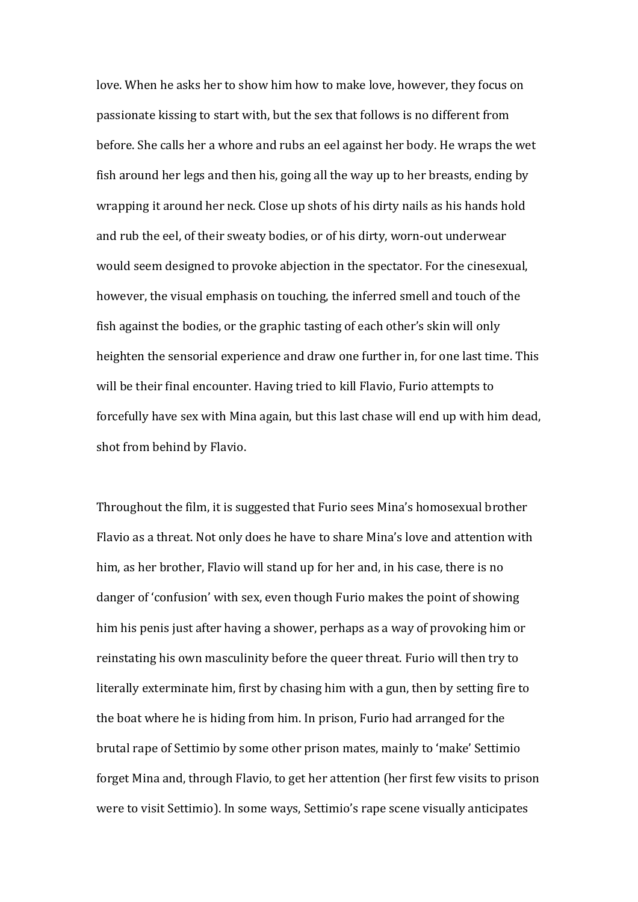love. When he asks her to show him how to make love, however, they focus on passionate kissing to start with, but the sex that follows is no different from before. She calls her a whore and rubs an eel against her body. He wraps the wet fish around her legs and then his, going all the way up to her breasts, ending by wrapping it around her neck. Close up shots of his dirty nails as his hands hold and rub the eel, of their sweaty bodies, or of his dirty, worn-out underwear would seem designed to provoke abjection in the spectator. For the cinesexual, however, the visual emphasis on touching, the inferred smell and touch of the fish against the bodies, or the graphic tasting of each other's skin will only heighten the sensorial experience and draw one further in, for one last time. This will be their final encounter. Having tried to kill Flavio, Furio attempts to forcefully have sex with Mina again, but this last chase will end up with him dead, shot from behind by Flavio.

Throughout the film, it is suggested that Furio sees Mina's homosexual brother Flavio as a threat. Not only does he have to share Mina's love and attention with him, as her brother, Flavio will stand up for her and, in his case, there is no danger of 'confusion' with sex, even though Furio makes the point of showing him his penis just after having a shower, perhaps as a way of provoking him or reinstating his own masculinity before the queer threat. Furio will then try to literally exterminate him, first by chasing him with a gun, then by setting fire to the boat where he is hiding from him. In prison, Furio had arranged for the brutal rape of Settimio by some other prison mates, mainly to 'make' Settimio forget Mina and, through Flavio, to get her attention (her first few visits to prison were to visit Settimio). In some ways, Settimio's rape scene visually anticipates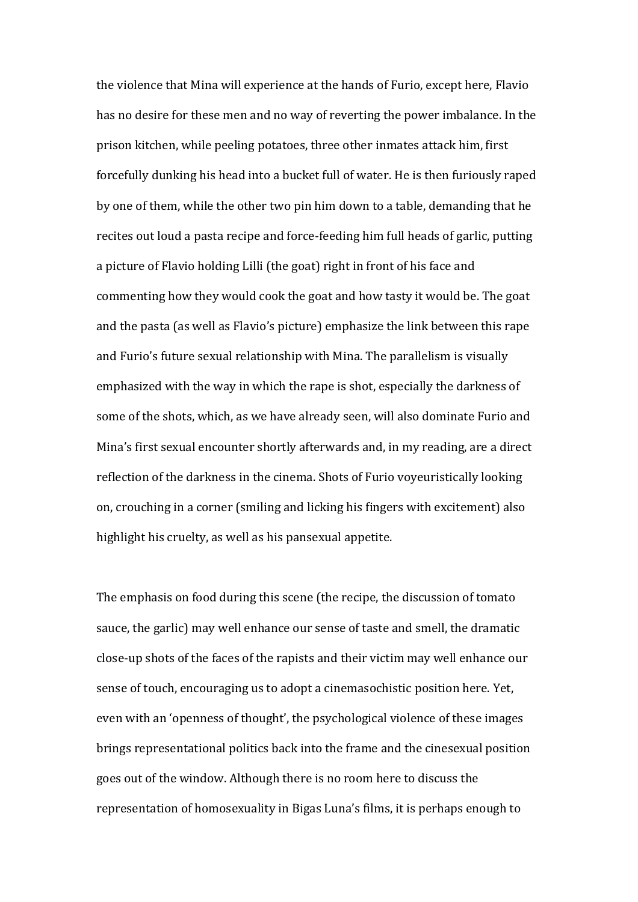the violence that Mina will experience at the hands of Furio, except here, Flavio has no desire for these men and no way of reverting the power imbalance. In the prison kitchen, while peeling potatoes, three other inmates attack him, first forcefully dunking his head into a bucket full of water. He is then furiously raped by one of them, while the other two pin him down to a table, demanding that he recites out loud a pasta recipe and force-feeding him full heads of garlic, putting a picture of Flavio holding Lilli (the goat) right in front of his face and commenting how they would cook the goat and how tasty it would be. The goat and the pasta (as well as Flavio's picture) emphasize the link between this rape and Furio's future sexual relationship with Mina. The parallelism is visually emphasized with the way in which the rape is shot, especially the darkness of some of the shots, which, as we have already seen, will also dominate Furio and Mina's first sexual encounter shortly afterwards and, in my reading, are a direct reflection of the darkness in the cinema. Shots of Furio voyeuristically looking on, crouching in a corner (smiling and licking his fingers with excitement) also highlight his cruelty, as well as his pansexual appetite.

The emphasis on food during this scene (the recipe, the discussion of tomato sauce, the garlic) may well enhance our sense of taste and smell, the dramatic close-up shots of the faces of the rapists and their victim may well enhance our sense of touch, encouraging us to adopt a cinemasochistic position here. Yet, even with an 'openness of thought', the psychological violence of these images brings representational politics back into the frame and the cinesexual position goes out of the window. Although there is no room here to discuss the representation of homosexuality in Bigas Luna's films, it is perhaps enough to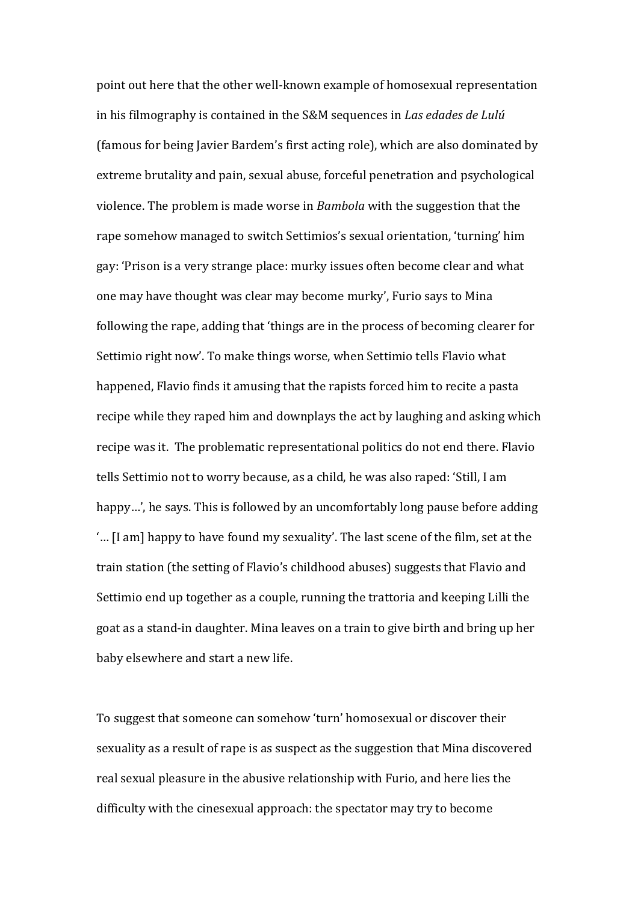point out here that the other well-known example of homosexual representation in his filmography is contained in the S&M sequences in *Las edades de Lulú* (famous for being Javier Bardem's first acting role), which are also dominated by extreme brutality and pain, sexual abuse, forceful penetration and psychological violence. The problem is made worse in *Bambola* with the suggestion that the rape somehow managed to switch Settimios's sexual orientation, 'turning' him gay: 'Prison is a very strange place: murky issues often become clear and what one may have thought was clear may become murky', Furio says to Mina following the rape, adding that 'things are in the process of becoming clearer for Settimio right now'. To make things worse, when Settimio tells Flavio what happened, Flavio finds it amusing that the rapists forced him to recite a pasta recipe while they raped him and downplays the act by laughing and asking which recipe was it. The problematic representational politics do not end there. Flavio tells Settimio not to worry because, as a child, he was also raped: 'Still, I am happy…', he says. This is followed by an uncomfortably long pause before adding '… [I am] happy to have found my sexuality'. The last scene of the film, set at the train station (the setting of Flavio's childhood abuses) suggests that Flavio and Settimio end up together as a couple, running the trattoria and keeping Lilli the goat as a stand-in daughter. Mina leaves on a train to give birth and bring up her baby elsewhere and start a new life.

To suggest that someone can somehow 'turn' homosexual or discover their sexuality as a result of rape is as suspect as the suggestion that Mina discovered real sexual pleasure in the abusive relationship with Furio, and here lies the difficulty with the cinesexual approach: the spectator may try to become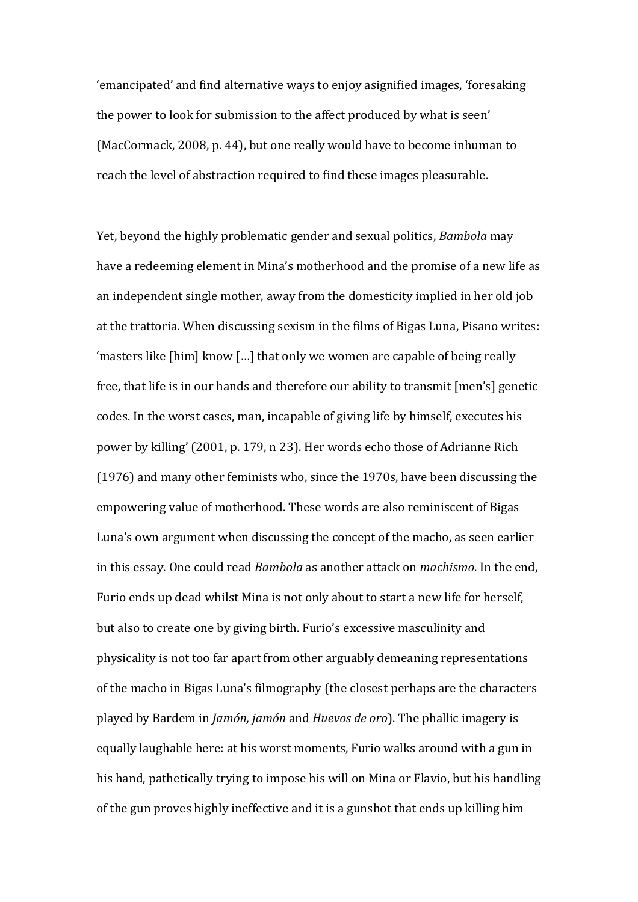'emancipated' and find alternative ways to enjoy asignified images, 'foresaking the power to look for submission to the affect produced by what is seen' (MacCormack, 2008, p. 44), but one really would have to become inhuman to reach the level of abstraction required to find these images pleasurable.

Yet, beyond the highly problematic gender and sexual politics, *Bambola* may have a redeeming element in Mina's motherhood and the promise of a new life as an independent single mother, away from the domesticity implied in her old job at the trattoria. When discussing sexism in the films of Bigas Luna, Pisano writes: 'masters like [him] know […] that only we women are capable of being really free, that life is in our hands and therefore our ability to transmit [men's] genetic codes. In the worst cases, man, incapable of giving life by himself, executes his power by killing' (2001, p. 179, n 23). Her words echo those of Adrianne Rich (1976) and many other feminists who, since the 1970s, have been discussing the empowering value of motherhood. These words are also reminiscent of Bigas Luna's own argument when discussing the concept of the macho, as seen earlier in this essay. One could read *Bambola* as another attack on *machismo*. In the end, Furio ends up dead whilst Mina is not only about to start a new life for herself, but also to create one by giving birth. Furio's excessive masculinity and physicality is not too far apart from other arguably demeaning representations of the macho in Bigas Luna's filmography (the closest perhaps are the characters played by Bardem in *Jamón, jamón* and *Huevos de oro*). The phallic imagery is equally laughable here: at his worst moments, Furio walks around with a gun in his hand, pathetically trying to impose his will on Mina or Flavio, but his handling of the gun proves highly ineffective and it is a gunshot that ends up killing him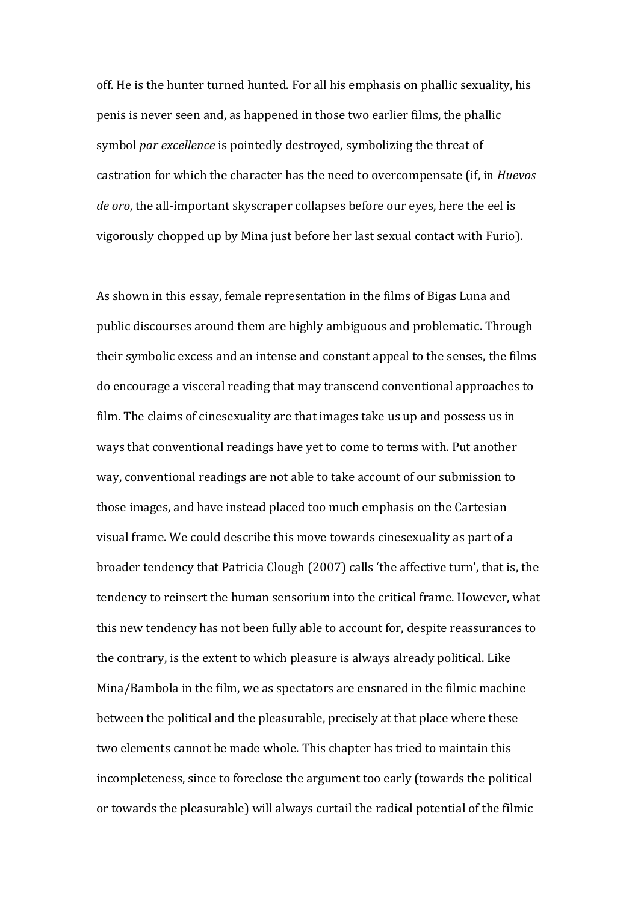off. He is the hunter turned hunted. For all his emphasis on phallic sexuality, his penis is never seen and, as happened in those two earlier films, the phallic symbol *par excellence* is pointedly destroyed, symbolizing the threat of castration for which the character has the need to overcompensate (if, in *Huevos de oro*, the all-important skyscraper collapses before our eyes, here the eel is vigorously chopped up by Mina just before her last sexual contact with Furio).

As shown in this essay, female representation in the films of Bigas Luna and public discourses around them are highly ambiguous and problematic. Through their symbolic excess and an intense and constant appeal to the senses, the films do encourage a visceral reading that may transcend conventional approaches to film. The claims of cinesexuality are that images take us up and possess us in ways that conventional readings have yet to come to terms with. Put another way, conventional readings are not able to take account of our submission to those images, and have instead placed too much emphasis on the Cartesian visual frame. We could describe this move towards cinesexuality as part of a broader tendency that Patricia Clough (2007) calls 'the affective turn', that is, the tendency to reinsert the human sensorium into the critical frame. However, what this new tendency has not been fully able to account for, despite reassurances to the contrary, is the extent to which pleasure is always already political. Like Mina/Bambola in the film, we as spectators are ensnared in the filmic machine between the political and the pleasurable, precisely at that place where these two elements cannot be made whole. This chapter has tried to maintain this incompleteness, since to foreclose the argument too early (towards the political or towards the pleasurable) will always curtail the radical potential of the filmic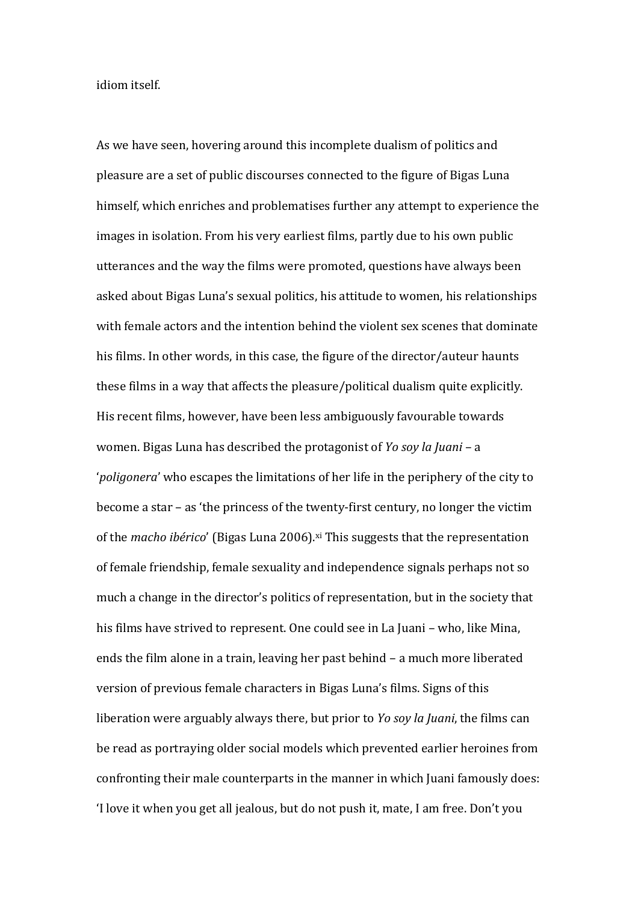idiom itself.

As we have seen, hovering around this incomplete dualism of politics and pleasure are a set of public discourses connected to the figure of Bigas Luna himself, which enriches and problematises further any attempt to experience the images in isolation. From his very earliest films, partly due to his own public utterances and the way the films were promoted, questions have always been asked about Bigas Luna's sexual politics, his attitude to women, his relationships with female actors and the intention behind the violent sex scenes that dominate his films. In other words, in this case, the figure of the director/auteur haunts these films in a way that affects the pleasure/political dualism quite explicitly. His recent films, however, have been less ambiguously favourable towards women. Bigas Luna has described the protagonist of *Yo soy la Juani* – a '*poligonera*' who escapes the limitations of her life in the periphery of the city to become a star – as 'the princess of the twenty-first century, no longer the victim of the *macho ibérico*' (Bigas Luna 2006).<sup>xi</sup> This suggests that the representation of female friendship, female sexuality and independence signals perhaps not so much a change in the director's politics of representation, but in the society that his films have strived to represent. One could see in La Juani – who, like Mina, ends the film alone in a train, leaving her past behind – a much more liberated version of previous female characters in Bigas Luna's films. Signs of this liberation were arguably always there, but prior to *Yo soy la Juani*, the films can be read as portraying older social models which prevented earlier heroines from confronting their male counterparts in the manner in which Juani famously does: 'I love it when you get all jealous, but do not push it, mate, I am free. Don't you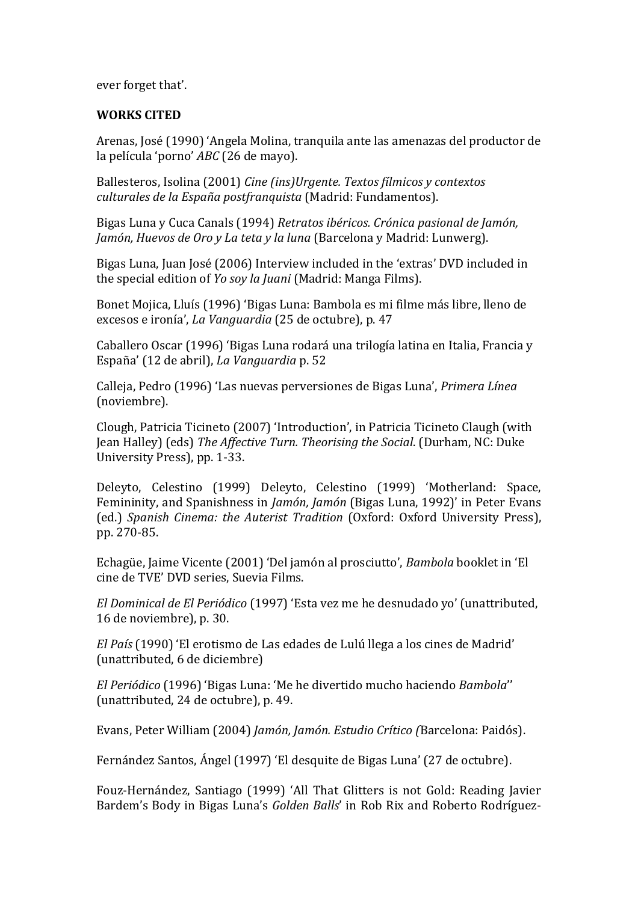ever forget that'.

# **WORKS CITED**

Arenas, José (1990) 'Angela Molina, tranquila ante las amenazas del productor de la película 'porno' *ABC* (26 de mayo).

Ballesteros, Isolina (2001) *Cine (ins)Urgente. Textos fílmicos y contextos culturales de la España postfranquista* (Madrid: Fundamentos).

Bigas Luna y Cuca Canals (1994) *Retratos ibéricos. Crónica pasional de Jamón, Jamón, Huevos de Oro y La teta y la luna* (Barcelona y Madrid: Lunwerg).

Bigas Luna, Juan José (2006) Interview included in the 'extras' DVD included in the special edition of *Yo soy la Juani* (Madrid: Manga Films).

Bonet Mojica, Lluís (1996) 'Bigas Luna: Bambola es mi filme más libre, lleno de excesos e ironía', *La Vanguardia* (25 de octubre), p. 47

Caballero Oscar (1996) 'Bigas Luna rodará una trilogía latina en Italia, Francia y España' (12 de abril), *La Vanguardia* p. 52

Calleja, Pedro (1996) 'Las nuevas perversiones de Bigas Luna', *Primera Línea* (noviembre).

Clough, Patricia Ticineto (2007) 'Introduction', in Patricia Ticineto Claugh (with Jean Halley) (eds) *The Affective Turn. Theorising the Social*. (Durham, NC: Duke University Press), pp. 1-33.

Deleyto, Celestino (1999) Deleyto, Celestino (1999) 'Motherland: Space, Femininity, and Spanishness in *Jamón, Jamón* (Bigas Luna, 1992)' in Peter Evans (ed.) *Spanish Cinema: the Auterist Tradition* (Oxford: Oxford University Press), pp. 270-85.

Echagüe, Jaime Vicente (2001) 'Del jamón al prosciutto', *Bambola* booklet in 'El cine de TVE' DVD series, Suevia Films.

*El Dominical de El Periódico* (1997) 'Esta vez me he desnudado yo' (unattributed, 16 de noviembre), p. 30.

*El País* (1990) 'El erotismo de Las edades de Lulú llega a los cines de Madrid' (unattributed, 6 de diciembre)

*El Periódico* (1996) 'Bigas Luna: 'Me he divertido mucho haciendo *Bambola*'' (unattributed, 24 de octubre), p. 49.

Evans, Peter William (2004) *Jamón, Jamón. Estudio Crítico (*Barcelona: Paidós).

Fernández Santos, Ángel (1997) 'El desquite de Bigas Luna' (27 de octubre).

Fouz-Hernández, Santiago (1999) 'All That Glitters is not Gold: Reading Javier Bardem's Body in Bigas Luna's *Golden Balls*' in Rob Rix and Roberto Rodríguez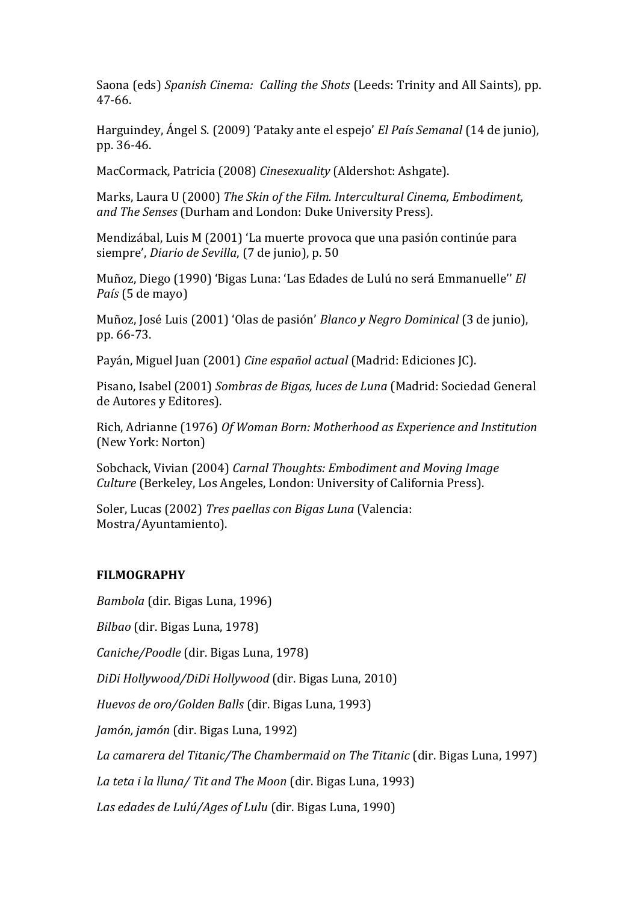Saona (eds) *Spanish Cinema: Calling the Shots* (Leeds: Trinity and All Saints), pp. 47-66.

Harguindey, Ángel S. (2009) 'Pataky ante el espejo' *El País Semanal* (14 de junio), pp. 36-46.

MacCormack, Patricia (2008) *Cinesexuality* (Aldershot: Ashgate).

Marks, Laura U (2000) *The Skin of the Film. Intercultural Cinema, Embodiment, and The Senses* (Durham and London: Duke University Press).

Mendizábal, Luis M (2001) 'La muerte provoca que una pasión continúe para siempre', *Diario de Sevilla*, (7 de junio), p. 50

Muñoz, Diego (1990) 'Bigas Luna: 'Las Edades de Lulú no será Emmanuelle'' *El País* (5 de mayo)

Muñoz, José Luis (2001) 'Olas de pasión' *Blanco y Negro Dominical* (3 de junio), pp. 66-73.

Payán, Miguel Juan (2001) *Cine español actual* (Madrid: Ediciones JC).

Pisano, Isabel (2001) *Sombras de Bigas, luces de Luna* (Madrid: Sociedad General de Autores y Editores).

Rich, Adrianne (1976) *Of Woman Born: Motherhood as Experience and Institution*  (New York: Norton)

Sobchack, Vivian (2004) *Carnal Thoughts: Embodiment and Moving Image Culture* (Berkeley, Los Angeles, London: University of California Press).

Soler, Lucas (2002) *Tres paellas con Bigas Luna* (Valencia: Mostra/Ayuntamiento).

### **FILMOGRAPHY**

*Bambola* (dir. Bigas Luna, 1996)

*Bilbao* (dir. Bigas Luna, 1978)

*Caniche/Poodle* (dir. Bigas Luna, 1978)

*DiDi Hollywood/DiDi Hollywood* (dir. Bigas Luna, 2010)

*Huevos de oro/Golden Balls* (dir. Bigas Luna, 1993)

*Jamón, jamón* (dir. Bigas Luna, 1992)

*La camarera del Titanic/The Chambermaid on The Titanic* (dir. Bigas Luna, 1997)

*La teta i la lluna/ Tit and The Moon* (dir. Bigas Luna, 1993)

*Las edades de Lulú/Ages of Lulu* (dir. Bigas Luna, 1990)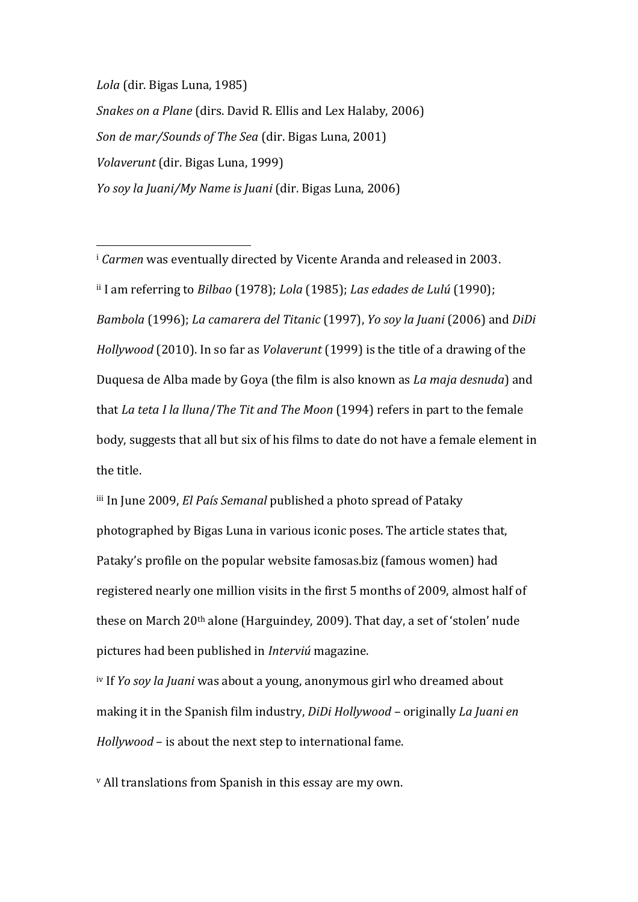*Lola* (dir. Bigas Luna, 1985) *Snakes on a Plane* (dirs. David R. Ellis and Lex Halaby, 2006) *Son de mar/Sounds of The Sea* (dir. Bigas Luna, 2001) *Volaverunt* (dir. Bigas Luna, 1999) *Yo soy la Juani/My Name is Juani* (dir. Bigas Luna, 2006)

 $\overline{a}$ <sup>i</sup> *Carmen* was eventually directed by Vicente Aranda and released in 2003. ii I am referring to *Bilbao* (1978); *Lola* (1985); *Las edades de Lulú* (1990); *Bambola* (1996); *La camarera del Titanic* (1997), *Yo soy la Juani* (2006) and *DiDi Hollywood* (2010). In so far as *Volaverunt* (1999) is the title of a drawing of the Duquesa de Alba made by Goya (the film is also known as *La maja desnuda*) and that *La teta I la lluna*/*The Tit and The Moon* (1994) refers in part to the female body, suggests that all but six of his films to date do not have a female element in the title.

iii In June 2009, *El País Semanal* published a photo spread of Pataky photographed by Bigas Luna in various iconic poses. The article states that, Pataky's profile on the popular website famosas.biz (famous women) had registered nearly one million visits in the first 5 months of 2009, almost half of these on March 20th alone (Harguindey, 2009). That day, a set of 'stolen' nude pictures had been published in *Interviú* magazine.

iv If *Yo soy la Juani* was about a young, anonymous girl who dreamed about making it in the Spanish film industry, *DiDi Hollywood* – originally *La Juani en Hollywood* – is about the next step to international fame.

<sup>v</sup> All translations from Spanish in this essay are my own.